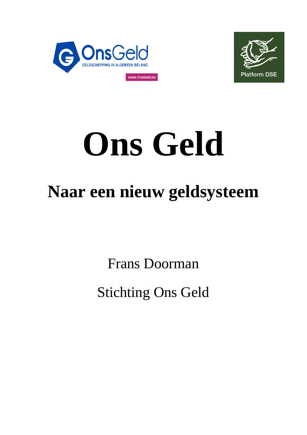



# **Ons Geld**

# **Naar een nieuw geldsysteem**

Frans Doorman

Stichting Ons Geld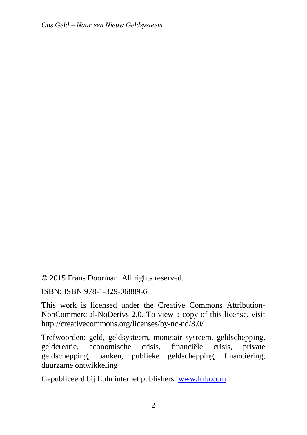© 2015 Frans Doorman. All rights reserved.

ISBN: ISBN 978-1-329-06889-6

This work is licensed under the Creative Commons Attribution-NonCommercial-NoDerivs 2.0. To view a copy of this license, visit http://creativecommons.org/licenses/by-nc-nd/3.0/

Trefwoorden: geld, geldsysteem, monetair systeem, geldschepping, geldcreatie, economische crisis, financiële crisis, private geldschepping, banken, publieke geldschepping, financiering, duurzame ontwikkeling

Gepubliceerd bij Lulu internet publishers: www.lulu.com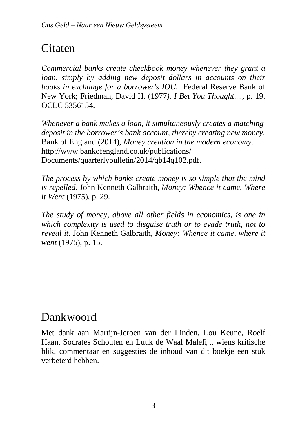# Citaten

*Commercial banks create checkbook money whenever they grant a loan, simply by adding new deposit dollars in accounts on their books in exchange for a borrower's IOU.* Federal Reserve Bank of New York; Friedman, David H. (1977*). I Bet You Thought....*, p. 19. OCLC 5356154.

*Whenever a bank makes a loan, it simultaneously creates a matching deposit in the borrower's bank account, thereby creating new money.* Bank of England (2014), *Money creation in the modern economy*. http://www.bankofengland.co.uk/publications/ Documents/quarterlybulletin/2014/qb14q102.pdf.

*The process by which banks create money is so simple that the mind is repelled.* John Kenneth Galbraith, *Money: Whence it came, Where it Went* (1975), p. 29.

*The study of money, above all other fields in economics, is one in which complexity is used to disguise truth or to evade truth, not to reveal it.* John Kenneth Galbraith, *Money: Whence it came, where it went* (1975), p. 15.

# Dankwoord

Met dank aan Martijn-Jeroen van der Linden, Lou Keune, Roelf Haan, Socrates Schouten en Luuk de Waal Malefijt, wiens kritische blik, commentaar en suggesties de inhoud van dit boekje een stuk verbeterd hebben.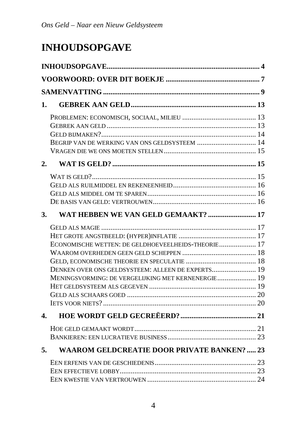# **INHOUDSOPGAVE**

| 1.             |                                                                                                                                                               |  |
|----------------|---------------------------------------------------------------------------------------------------------------------------------------------------------------|--|
| 2.             |                                                                                                                                                               |  |
| $\mathbf{3}$ . | WAT HEBBEN WE VAN GELD GEMAAKT?  17                                                                                                                           |  |
|                | ECONOMISCHE WETTEN: DE GELDHOEVEELHEIDS-THEORIE 17<br>DENKEN OVER ONS GELDSYSTEEM: ALLEEN DE EXPERTS 19<br>MENINGSVORMING: DE VERGELIJKING MET KERNENERGIE 19 |  |
| $\mathbf{4}$ . |                                                                                                                                                               |  |
| 5.             | <b>WAAROM GELDCREATIE DOOR PRIVATE BANKEN?  23</b>                                                                                                            |  |
|                |                                                                                                                                                               |  |
|                |                                                                                                                                                               |  |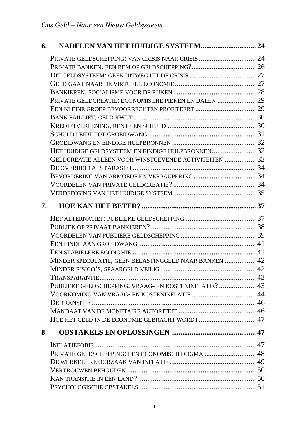| 6. |                                                       |  |
|----|-------------------------------------------------------|--|
|    |                                                       |  |
|    |                                                       |  |
|    |                                                       |  |
|    |                                                       |  |
|    |                                                       |  |
|    | PRIVATE GELDCREATIE: ECONOMISCHE PIEKEN EN DALEN  29  |  |
|    |                                                       |  |
|    |                                                       |  |
|    |                                                       |  |
|    |                                                       |  |
|    |                                                       |  |
|    | HET HUIDIGE GELDSYSTEEM EN EINDIGE HULPBRONNEN 32     |  |
|    | GELDCREATIE ALLEEN VOOR WINSTGEVENDE ACTIVITEITEN  33 |  |
|    |                                                       |  |
|    |                                                       |  |
|    |                                                       |  |
|    |                                                       |  |
| 7. |                                                       |  |
|    |                                                       |  |
|    |                                                       |  |
|    |                                                       |  |
|    |                                                       |  |
|    |                                                       |  |
|    | MINDER SPECULATIE, GEEN BELASTINGGELD NAAR BANKEN  42 |  |
|    |                                                       |  |
|    |                                                       |  |
|    | PUBLIEKE GELDSCHEPPING: VRAAG- EN KOSTENINFLATIE?  43 |  |
|    | VOORKOMING VAN VRAAG- EN KOSTENINFLATIE  44           |  |
|    |                                                       |  |
|    |                                                       |  |
|    | HOE HET GELD IN DE ECONOMIE GEBRACHT WORDT 47         |  |
| 8. |                                                       |  |
|    |                                                       |  |
|    | PRIVATE GELDSCHEPPING: EEN ECONOMISCH DOGMA  48       |  |
|    |                                                       |  |
|    |                                                       |  |
|    |                                                       |  |
|    |                                                       |  |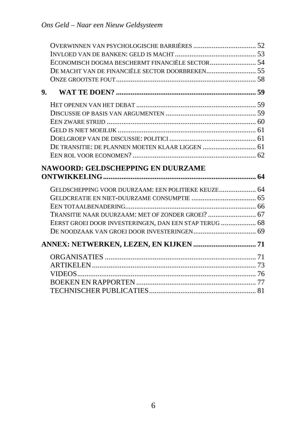|    | ECONOMISCH DOGMA BESCHERMT FINANCIËLE SECTOR 54        |  |
|----|--------------------------------------------------------|--|
|    |                                                        |  |
|    |                                                        |  |
| 9. |                                                        |  |
|    |                                                        |  |
|    |                                                        |  |
|    |                                                        |  |
|    |                                                        |  |
|    |                                                        |  |
|    |                                                        |  |
|    |                                                        |  |
|    |                                                        |  |
|    |                                                        |  |
|    | <b>NAWOORD: GELDSCHEPPING EN DUURZAME</b>              |  |
|    |                                                        |  |
|    | GELDSCHEPPING VOOR DUURZAAM: EEN POLITIEKE KEUZE 64    |  |
|    |                                                        |  |
|    |                                                        |  |
|    |                                                        |  |
|    | EERST GROEI DOOR INVESTERINGEN, DAN EEN STAP TERUG  68 |  |
|    |                                                        |  |
|    |                                                        |  |
|    |                                                        |  |
|    |                                                        |  |
|    |                                                        |  |
|    |                                                        |  |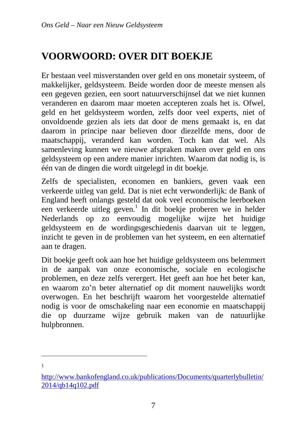# **VOORWOORD: OVER DIT BOEKJE**

Er bestaan veel misverstanden over geld en ons monetair systeem, of makkelijker, geldsysteem. Beide worden door de meeste mensen als een gegeven gezien, een soort natuurverschijnsel dat we niet kunnen veranderen en daarom maar moeten accepteren zoals het is. Ofwel, geld en het geldsysteem worden, zelfs door veel experts, niet of onvoldoende gezien als iets dat door de mens gemaakt is, en dat daarom in principe naar believen door diezelfde mens, door de maatschappij, veranderd kan worden. Toch kan dat wel. Als samenleving kunnen we nieuwe afspraken maken over geld en ons geldsysteem op een andere manier inrichten. Waarom dat nodig is, is één van de dingen die wordt uitgelegd in dit boekje.

Zelfs de specialisten, economen en bankiers, geven vaak een verkeerde uitleg van geld. Dat is niet echt verwonderlijk: de Bank of England heeft onlangs gesteld dat ook veel economische leerboeken een verkeerde uitleg geven.<sup>1</sup> In dit boekje proberen we in helder Nederlands op zo eenvoudig mogelijke wijze het huidige geldsysteem en de wordingsgeschiedenis daarvan uit te leggen, inzicht te geven in de problemen van het systeem, en een alternatief aan te dragen.

Dit boekje geeft ook aan hoe het huidige geldsysteem ons belemmert in de aanpak van onze economische, sociale en ecologische problemen, en deze zelfs verergert. Het geeft aan hoe het beter kan, en waarom zo'n beter alternatief op dit moment nauwelijks wordt overwogen. En het beschrijft waarom het voorgestelde alternatief nodig is voor de omschakeling naar een economie en maatschappij die op duurzame wijze gebruik maken van de natuurlijke hulpbronnen.

http://www.bankofengland.co.uk/publications/Documents/quarterlybulletin/ 2014/qb14q102.pdf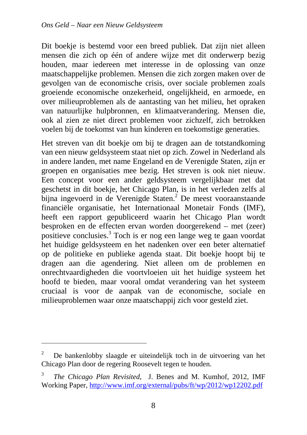Dit boekje is bestemd voor een breed publiek. Dat zijn niet alleen mensen die zich op één of andere wijze met dit onderwerp bezig houden, maar iedereen met interesse in de oplossing van onze maatschappelijke problemen. Mensen die zich zorgen maken over de gevolgen van de economische crisis, over sociale problemen zoals groeiende economische onzekerheid, ongelijkheid, en armoede, en over milieuproblemen als de aantasting van het milieu, het opraken van natuurlijke hulpbronnen, en klimaatverandering. Mensen die, ook al zien ze niet direct problemen voor zichzelf, zich betrokken voelen bij de toekomst van hun kinderen en toekomstige generaties.

Het streven van dit boekje om bij te dragen aan de totstandkoming van een nieuw geldsysteem staat niet op zich. Zowel in Nederland als in andere landen, met name Engeland en de Verenigde Staten, zijn er groepen en organisaties mee bezig. Het streven is ook niet nieuw. Een concept voor een ander geldsysteem vergelijkbaar met dat geschetst in dit boekje, het Chicago Plan, is in het verleden zelfs al bijna ingevoerd in de Verenigde Staten.<sup>2</sup> De meest vooraanstaande financiële organisatie, het Internationaal Monetair Fonds (IMF), heeft een rapport gepubliceerd waarin het Chicago Plan wordt besproken en de effecten ervan worden doorgerekend – met (zeer) positieve conclusies.<sup>3</sup> Toch is er nog een lange weg te gaan voordat het huidige geldsysteem en het nadenken over een beter alternatief op de politieke en publieke agenda staat. Dit boekje hoopt bij te dragen aan die agendering. Niet alleen om de problemen en onrechtvaardigheden die voortvloeien uit het huidige systeem het hoofd te bieden, maar vooral omdat verandering van het systeem cruciaal is voor de aanpak van de economische, sociale en milieuproblemen waar onze maatschappij zich voor gesteld ziet.

<sup>2</sup> De bankenlobby slaagde er uiteindelijk toch in de uitvoering van het Chicago Plan door de regering Roosevelt tegen te houden.

<sup>3</sup> *The Chicago Plan Revisited*, J. Benes and M. Kumhof, 2012, IMF Working Paper, http://www.imf.org/external/pubs/ft/wp/2012/wp12202.pdf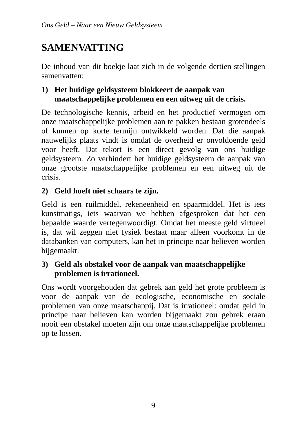# **SAMENVATTING**

De inhoud van dit boekje laat zich in de volgende dertien stellingen samenvatten:

#### **1) Het huidige geldsysteem blokkeert de aanpak van maatschappelijke problemen en een uitweg uit de crisis.**

De technologische kennis, arbeid en het productief vermogen om onze maatschappelijke problemen aan te pakken bestaan grotendeels of kunnen op korte termijn ontwikkeld worden. Dat die aanpak nauwelijks plaats vindt is omdat de overheid er onvoldoende geld voor heeft. Dat tekort is een direct gevolg van ons huidige geldsysteem. Zo verhindert het huidige geldsysteem de aanpak van onze grootste maatschappelijke problemen en een uitweg uit de crisis.

#### **2) Geld hoeft niet schaars te zijn.**

Geld is een ruilmiddel, rekeneenheid en spaarmiddel. Het is iets kunstmatigs, iets waarvan we hebben afgesproken dat het een bepaalde waarde vertegenwoordigt. Omdat het meeste geld virtueel is, dat wil zeggen niet fysiek bestaat maar alleen voorkomt in de databanken van computers, kan het in principe naar believen worden bijgemaakt.

#### **3) Geld als obstakel voor de aanpak van maatschappelijke problemen is irrationeel.**

Ons wordt voorgehouden dat gebrek aan geld het grote probleem is voor de aanpak van de ecologische, economische en sociale problemen van onze maatschappij. Dat is irrationeel: omdat geld in principe naar believen kan worden bijgemaakt zou gebrek eraan nooit een obstakel moeten zijn om onze maatschappelijke problemen op te lossen.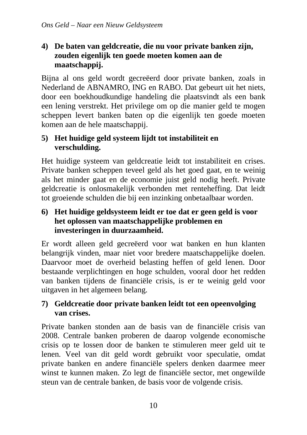#### **4) De baten van geldcreatie, die nu voor private banken zijn, zouden eigenlijk ten goede moeten komen aan de maatschappij.**

Bijna al ons geld wordt gecreëerd door private banken, zoals in Nederland de ABNAMRO, ING en RABO. Dat gebeurt uit het niets, door een boekhoudkundige handeling die plaatsvindt als een bank een lening verstrekt. Het privilege om op die manier geld te mogen scheppen levert banken baten op die eigenlijk ten goede moeten komen aan de hele maatschappij.

#### **5) Het huidige geld systeem lijdt tot instabiliteit en verschulding.**

Het huidige systeem van geldcreatie leidt tot instabiliteit en crises. Private banken scheppen teveel geld als het goed gaat, en te weinig als het minder gaat en de economie juist geld nodig heeft. Private geldcreatie is onlosmakelijk verbonden met renteheffing. Dat leidt tot groeiende schulden die bij een inzinking onbetaalbaar worden.

#### **6) Het huidige geldsysteem leidt er toe dat er geen geld is voor het oplossen van maatschappelijke problemen en investeringen in duurzaamheid.**

Er wordt alleen geld gecreëerd voor wat banken en hun klanten belangrijk vinden, maar niet voor bredere maatschappelijke doelen. Daarvoor moet de overheid belasting heffen of geld lenen. Door bestaande verplichtingen en hoge schulden, vooral door het redden van banken tijdens de financiële crisis, is er te weinig geld voor uitgaven in het algemeen belang.

#### **7) Geldcreatie door private banken leidt tot een opeenvolging van crises.**

Private banken stonden aan de basis van de financiële crisis van 2008. Centrale banken proberen de daarop volgende economische crisis op te lossen door de banken te stimuleren meer geld uit te lenen. Veel van dit geld wordt gebruikt voor speculatie, omdat private banken en andere financiële spelers denken daarmee meer winst te kunnen maken. Zo legt de financiële sector, met ongewilde steun van de centrale banken, de basis voor de volgende crisis.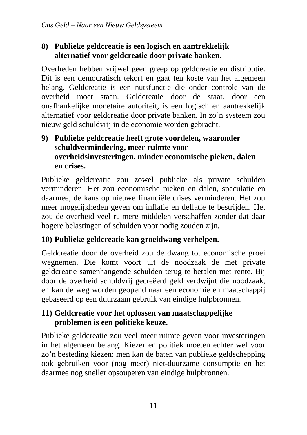#### **8) Publieke geldcreatie is een logisch en aantrekkelijk alternatief voor geldcreatie door private banken.**

Overheden hebben vrijwel geen greep op geldcreatie en distributie. Dit is een democratisch tekort en gaat ten koste van het algemeen belang. Geldcreatie is een nutsfunctie die onder controle van de overheid moet staan. Geldcreatie door de staat, door een onafhankelijke monetaire autoriteit, is een logisch en aantrekkelijk alternatief voor geldcreatie door private banken. In zo'n systeem zou nieuw geld schuldvrij in de economie worden gebracht.

#### **9) Publieke geldcreatie heeft grote voordelen, waaronder schuldvermindering, meer ruimte voor overheidsinvesteringen, minder economische pieken, dalen en crises.**

Publieke geldcreatie zou zowel publieke als private schulden verminderen. Het zou economische pieken en dalen, speculatie en daarmee, de kans op nieuwe financiële crises verminderen. Het zou meer mogelijkheden geven om inflatie en deflatie te bestrijden. Het zou de overheid veel ruimere middelen verschaffen zonder dat daar hogere belastingen of schulden voor nodig zouden zijn.

#### **10) Publieke geldcreatie kan groeidwang verhelpen.**

Geldcreatie door de overheid zou de dwang tot economische groei wegnemen. Die komt voort uit de noodzaak de met private geldcreatie samenhangende schulden terug te betalen met rente. Bij door de overheid schuldvrij gecreëerd geld verdwijnt die noodzaak, en kan de weg worden geopend naar een economie en maatschappij gebaseerd op een duurzaam gebruik van eindige hulpbronnen.

#### **11) Geldcreatie voor het oplossen van maatschappelijke problemen is een politieke keuze.**

Publieke geldcreatie zou veel meer ruimte geven voor investeringen in het algemeen belang. Kiezer en politiek moeten echter wel voor zo'n besteding kiezen: men kan de baten van publieke geldschepping ook gebruiken voor (nog meer) niet-duurzame consumptie en het daarmee nog sneller opsouperen van eindige hulpbronnen.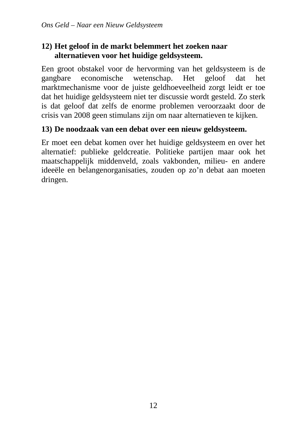#### **12) Het geloof in de markt belemmert het zoeken naar alternatieven voor het huidige geldsysteem.**

Een groot obstakel voor de hervorming van het geldsysteem is de gangbare economische wetenschap. Het geloof dat het marktmechanisme voor de juiste geldhoeveelheid zorgt leidt er toe dat het huidige geldsysteem niet ter discussie wordt gesteld. Zo sterk is dat geloof dat zelfs de enorme problemen veroorzaakt door de crisis van 2008 geen stimulans zijn om naar alternatieven te kijken.

#### **13) De noodzaak van een debat over een nieuw geldsysteem.**

Er moet een debat komen over het huidige geldsysteem en over het alternatief: publieke geldcreatie. Politieke partijen maar ook het maatschappelijk middenveld, zoals vakbonden, milieu- en andere ideeële en belangenorganisaties, zouden op zo'n debat aan moeten dringen.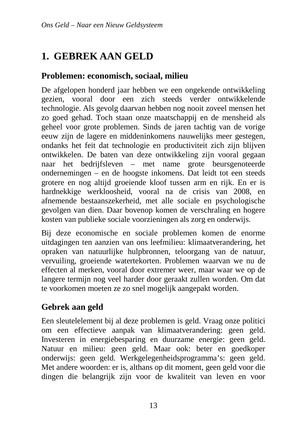# **1. GEBREK AAN GELD**

#### **Problemen: economisch, sociaal, milieu**

De afgelopen honderd jaar hebben we een ongekende ontwikkeling gezien, vooral door een zich steeds verder ontwikkelende technologie. Als gevolg daarvan hebben nog nooit zoveel mensen het zo goed gehad. Toch staan onze maatschappij en de mensheid als geheel voor grote problemen. Sinds de jaren tachtig van de vorige eeuw zijn de lagere en middeninkomens nauwelijks meer gestegen, ondanks het feit dat technologie en productiviteit zich zijn blijven ontwikkelen. De baten van deze ontwikkeling zijn vooral gegaan naar het bedrijfsleven – met name grote beursgenoteerde ondernemingen – en de hoogste inkomens. Dat leidt tot een steeds grotere en nog altijd groeiende kloof tussen arm en rijk. En er is hardnekkige werkloosheid, vooral na de crisis van 2008, en afnemende bestaanszekerheid, met alle sociale en psychologische gevolgen van dien. Daar bovenop komen de verschraling en hogere kosten van publieke sociale voorzieningen als zorg en onderwijs.

Bij deze economische en sociale problemen komen de enorme uitdagingen ten aanzien van ons leefmilieu: klimaatverandering, het opraken van natuurlijke hulpbronnen, teloorgang van de natuur, vervuiling, groeiende watertekorten. Problemen waarvan we nu de effecten al merken, vooral door extremer weer, maar waar we op de langere termijn nog veel harder door geraakt zullen worden. Om dat te voorkomen moeten ze zo snel mogelijk aangepakt worden.

#### **Gebrek aan geld**

Een sleutelelement bij al deze problemen is geld. Vraag onze politici om een effectieve aanpak van klimaatverandering: geen geld. Investeren in energiebesparing en duurzame energie: geen geld. Natuur en milieu: geen geld. Maar ook: beter en goedkoper onderwijs: geen geld. Werkgelegenheidsprogramma's: geen geld. Met andere woorden: er is, althans op dit moment, geen geld voor die dingen die belangrijk zijn voor de kwaliteit van leven en voor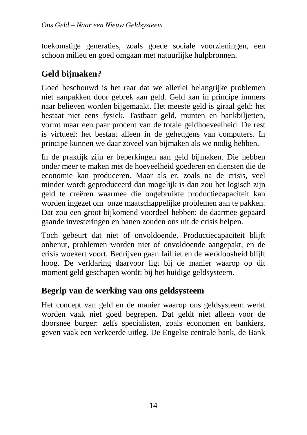toekomstige generaties, zoals goede sociale voorzieningen, een schoon milieu en goed omgaan met natuurlijke hulpbronnen.

#### **Geld bijmaken?**

Goed beschouwd is het raar dat we allerlei belangrijke problemen niet aanpakken door gebrek aan geld. Geld kan in principe immers naar believen worden bijgemaakt. Het meeste geld is giraal geld: het bestaat niet eens fysiek. Tastbaar geld, munten en bankbiljetten, vormt maar een paar procent van de totale geldhoeveelheid. De rest is virtueel: het bestaat alleen in de geheugens van computers. In principe kunnen we daar zoveel van bijmaken als we nodig hebben.

In de praktijk zijn er beperkingen aan geld bijmaken. Die hebben onder meer te maken met de hoeveelheid goederen en diensten die de economie kan produceren. Maar als er, zoals na de crisis, veel minder wordt geproduceerd dan mogelijk is dan zou het logisch zijn geld te creëren waarmee die ongebruikte productiecapaciteit kan worden ingezet om onze maatschappelijke problemen aan te pakken. Dat zou een groot bijkomend voordeel hebben: de daarmee gepaard gaande investeringen en banen zouden ons uit de crisis helpen.

Toch gebeurt dat niet of onvoldoende. Productiecapaciteit blijft onbenut, problemen worden niet of onvoldoende aangepakt, en de crisis woekert voort. Bedrijven gaan failliet en de werkloosheid blijft hoog. De verklaring daarvoor ligt bij de manier waarop op dit moment geld geschapen wordt: bij het huidige geldsysteem.

#### **Begrip van de werking van ons geldsysteem**

Het concept van geld en de manier waarop ons geldsysteem werkt worden vaak niet goed begrepen. Dat geldt niet alleen voor de doorsnee burger: zelfs specialisten, zoals economen en bankiers, geven vaak een verkeerde uitleg. De Engelse centrale bank, de Bank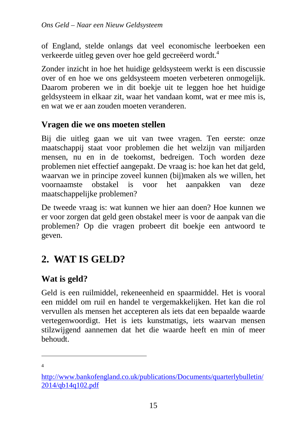of England, stelde onlangs dat veel economische leerboeken een verkeerde uitleg geven over hoe geld gecreëerd wordt.<sup>4</sup>

Zonder inzicht in hoe het huidige geldsysteem werkt is een discussie over of en hoe we ons geldsysteem moeten verbeteren onmogelijk. Daarom proberen we in dit boekje uit te leggen hoe het huidige geldsysteem in elkaar zit, waar het vandaan komt, wat er mee mis is, en wat we er aan zouden moeten veranderen.

#### **Vragen die we ons moeten stellen**

Bij die uitleg gaan we uit van twee vragen. Ten eerste: onze maatschappij staat voor problemen die het welzijn van miljarden mensen, nu en in de toekomst, bedreigen. Toch worden deze problemen niet effectief aangepakt. De vraag is: hoe kan het dat geld, waarvan we in principe zoveel kunnen (bij)maken als we willen, het voornaamste obstakel is voor het aanpakken van deze maatschappelijke problemen?

De tweede vraag is: wat kunnen we hier aan doen? Hoe kunnen we er voor zorgen dat geld geen obstakel meer is voor de aanpak van die problemen? Op die vragen probeert dit boekje een antwoord te geven.

## **2. WAT IS GELD?**

#### **Wat is geld?**

Geld is een ruilmiddel, rekeneenheid en spaarmiddel. Het is vooral een middel om ruil en handel te vergemakkelijken. Het kan die rol vervullen als mensen het accepteren als iets dat een bepaalde waarde vertegenwoordigt. Het is iets kunstmatigs, iets waarvan mensen stilzwijgend aannemen dat het die waarde heeft en min of meer behoudt.

 $\overline{a}$ 4

http://www.bankofengland.co.uk/publications/Documents/quarterlybulletin/ 2014/qb14q102.pdf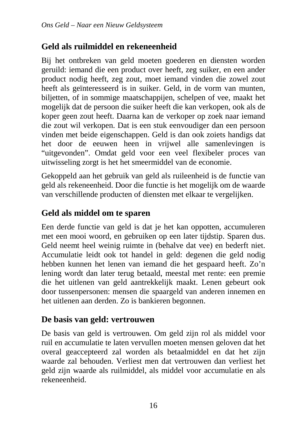#### **Geld als ruilmiddel en rekeneenheid**

Bij het ontbreken van geld moeten goederen en diensten worden geruild: iemand die een product over heeft, zeg suiker, en een ander product nodig heeft, zeg zout, moet iemand vinden die zowel zout heeft als geïnteresseerd is in suiker. Geld, in de vorm van munten, biljetten, of in sommige maatschappijen, schelpen of vee, maakt het mogelijk dat de persoon die suiker heeft die kan verkopen, ook als de koper geen zout heeft. Daarna kan de verkoper op zoek naar iemand die zout wil verkopen. Dat is een stuk eenvoudiger dan een persoon vinden met beide eigenschappen. Geld is dan ook zoiets handigs dat het door de eeuwen heen in vrijwel alle samenlevingen is "uitgevonden". Omdat geld voor een veel flexibeler proces van uitwisseling zorgt is het het smeermiddel van de economie.

Gekoppeld aan het gebruik van geld als ruileenheid is de functie van geld als rekeneenheid. Door die functie is het mogelijk om de waarde van verschillende producten of diensten met elkaar te vergelijken.

#### **Geld als middel om te sparen**

Een derde functie van geld is dat je het kan oppotten, accumuleren met een mooi woord, en gebruiken op een later tijdstip. Sparen dus. Geld neemt heel weinig ruimte in (behalve dat vee) en bederft niet. Accumulatie leidt ook tot handel in geld: degenen die geld nodig hebben kunnen het lenen van iemand die het gespaard heeft. Zo'n lening wordt dan later terug betaald, meestal met rente: een premie die het uitlenen van geld aantrekkelijk maakt. Lenen gebeurt ook door tussenpersonen: mensen die spaargeld van anderen innemen en het uitlenen aan derden. Zo is bankieren begonnen.

#### **De basis van geld: vertrouwen**

De basis van geld is vertrouwen. Om geld zijn rol als middel voor ruil en accumulatie te laten vervullen moeten mensen geloven dat het overal geaccepteerd zal worden als betaalmiddel en dat het zijn waarde zal behouden. Verliest men dat vertrouwen dan verliest het geld zijn waarde als ruilmiddel, als middel voor accumulatie en als rekeneenheid.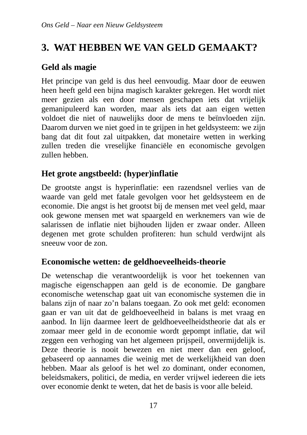# **3. WAT HEBBEN WE VAN GELD GEMAAKT?**

#### **Geld als magie**

Het principe van geld is dus heel eenvoudig. Maar door de eeuwen heen heeft geld een bijna magisch karakter gekregen. Het wordt niet meer gezien als een door mensen geschapen iets dat vrijelijk gemanipuleerd kan worden, maar als iets dat aan eigen wetten voldoet die niet of nauwelijks door de mens te beïnvloeden zijn. Daarom durven we niet goed in te grijpen in het geldsysteem: we zijn bang dat dit fout zal uitpakken, dat monetaire wetten in werking zullen treden die vreselijke financiële en economische gevolgen zullen hebben.

#### **Het grote angstbeeld: (hyper)inflatie**

De grootste angst is hyperinflatie: een razendsnel verlies van de waarde van geld met fatale gevolgen voor het geldsysteem en de economie. Die angst is het grootst bij de mensen met veel geld, maar ook gewone mensen met wat spaargeld en werknemers van wie de salarissen de inflatie niet bijhouden lijden er zwaar onder. Alleen degenen met grote schulden profiteren: hun schuld verdwijnt als sneeuw voor de zon.

#### **Economische wetten: de geldhoeveelheids-theorie**

De wetenschap die verantwoordelijk is voor het toekennen van magische eigenschappen aan geld is de economie. De gangbare economische wetenschap gaat uit van economische systemen die in balans zijn of naar zo'n balans toegaan. Zo ook met geld: economen gaan er van uit dat de geldhoeveelheid in balans is met vraag en aanbod. In lijn daarmee leert de geldhoeveelheidstheorie dat als er zomaar meer geld in de economie wordt gepompt inflatie, dat wil zeggen een verhoging van het algemeen prijspeil, onvermijdelijk is. Deze theorie is nooit bewezen en niet meer dan een geloof, gebaseerd op aannames die weinig met de werkelijkheid van doen hebben. Maar als geloof is het wel zo dominant, onder economen, beleidsmakers, politici, de media, en verder vrijwel iedereen die iets over economie denkt te weten, dat het de basis is voor alle beleid.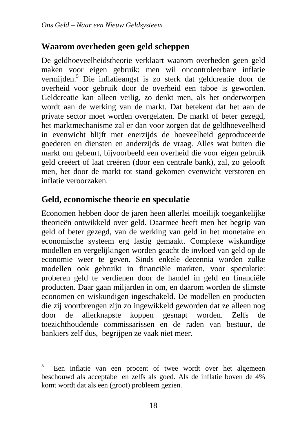#### **Waarom overheden geen geld scheppen**

De geldhoeveelheidstheorie verklaart waarom overheden geen geld maken voor eigen gebruik: men wil oncontroleerbare inflatie vermijden.<sup>5</sup> Die inflatieangst is zo sterk dat geldcreatie door de overheid voor gebruik door de overheid een taboe is geworden. Geldcreatie kan alleen veilig, zo denkt men, als het onderworpen wordt aan de werking van de markt. Dat betekent dat het aan de private sector moet worden overgelaten. De markt of beter gezegd, het marktmechanisme zal er dan voor zorgen dat de geldhoeveelheid in evenwicht blijft met enerzijds de hoeveelheid geproduceerde goederen en diensten en anderzijds de vraag. Alles wat buiten die markt om gebeurt, bijvoorbeeld een overheid die voor eigen gebruik geld creëert of laat creëren (door een centrale bank), zal, zo gelooft men, het door de markt tot stand gekomen evenwicht verstoren en inflatie veroorzaken.

#### **Geld, economische theorie en speculatie**

 $\overline{a}$ 

Economen hebben door de jaren heen allerlei moeilijk toegankelijke theorieën ontwikkeld over geld. Daarmee heeft men het begrip van geld of beter gezegd, van de werking van geld in het monetaire en economische systeem erg lastig gemaakt. Complexe wiskundige modellen en vergelijkingen worden geacht de invloed van geld op de economie weer te geven. Sinds enkele decennia worden zulke modellen ook gebruikt in financiële markten, voor speculatie: proberen geld te verdienen door de handel in geld en financiële producten. Daar gaan miljarden in om, en daarom worden de slimste economen en wiskundigen ingeschakeld. De modellen en producten die zij voortbrengen zijn zo ingewikkeld geworden dat ze alleen nog door de allerknapste koppen gesnapt worden. Zelfs de toezichthoudende commissarissen en de raden van bestuur, de bankiers zelf dus, begrijpen ze vaak niet meer.

<sup>5</sup> Een inflatie van een procent of twee wordt over het algemeen beschouwd als acceptabel en zelfs als goed. Als de inflatie boven de 4% komt wordt dat als een (groot) probleem gezien.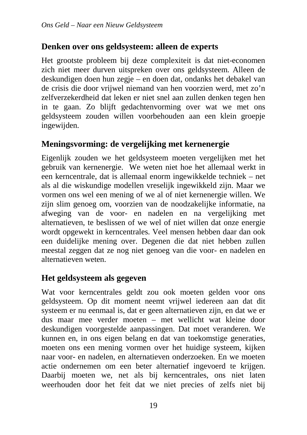#### **Denken over ons geldsysteem: alleen de experts**

Het grootste probleem bij deze complexiteit is dat niet-economen zich niet meer durven uitspreken over ons geldsysteem. Alleen de deskundigen doen hun zegje – en doen dat, ondanks het debakel van de crisis die door vrijwel niemand van hen voorzien werd, met zo'n zelfverzekerdheid dat leken er niet snel aan zullen denken tegen hen in te gaan. Zo blijft gedachtenvorming over wat we met ons geldsysteem zouden willen voorbehouden aan een klein groepje ingewijden.

#### **Meningsvorming: de vergelijking met kernenergie**

Eigenlijk zouden we het geldsysteem moeten vergelijken met het gebruik van kernenergie. We weten niet hoe het allemaal werkt in een kerncentrale, dat is allemaal enorm ingewikkelde techniek – net als al die wiskundige modellen vreselijk ingewikkeld zijn. Maar we vormen ons wel een mening of we al of niet kernenergie willen. We zijn slim genoeg om, voorzien van de noodzakelijke informatie, na afweging van de voor- en nadelen en na vergelijking met alternatieven, te beslissen of we wel of niet willen dat onze energie wordt opgewekt in kerncentrales. Veel mensen hebben daar dan ook een duidelijke mening over. Degenen die dat niet hebben zullen meestal zeggen dat ze nog niet genoeg van die voor- en nadelen en alternatieven weten.

#### **Het geldsysteem als gegeven**

Wat voor kerncentrales geldt zou ook moeten gelden voor ons geldsysteem. Op dit moment neemt vrijwel iedereen aan dat dit systeem er nu eenmaal is, dat er geen alternatieven zijn, en dat we er dus maar mee verder moeten – met wellicht wat kleine door deskundigen voorgestelde aanpassingen. Dat moet veranderen. We kunnen en, in ons eigen belang en dat van toekomstige generaties, moeten ons een mening vormen over het huidige systeem, kijken naar voor- en nadelen, en alternatieven onderzoeken. En we moeten actie ondernemen om een beter alternatief ingevoerd te krijgen. Daarbij moeten we, net als bij kerncentrales, ons niet laten weerhouden door het feit dat we niet precies of zelfs niet bij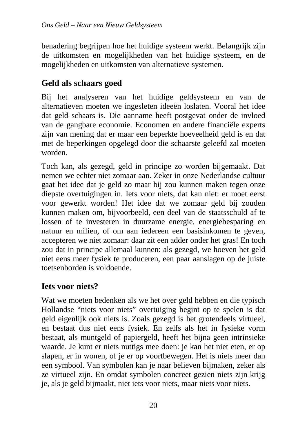benadering begrijpen hoe het huidige systeem werkt. Belangrijk zijn de uitkomsten en mogelijkheden van het huidige systeem, en de mogelijkheden en uitkomsten van alternatieve systemen.

#### **Geld als schaars goed**

Bij het analyseren van het huidige geldsysteem en van de alternatieven moeten we ingesleten ideeën loslaten. Vooral het idee dat geld schaars is. Die aanname heeft postgevat onder de invloed van de gangbare economie. Economen en andere financiële experts zijn van mening dat er maar een beperkte hoeveelheid geld is en dat met de beperkingen opgelegd door die schaarste geleefd zal moeten worden.

Toch kan, als gezegd, geld in principe zo worden bijgemaakt. Dat nemen we echter niet zomaar aan. Zeker in onze Nederlandse cultuur gaat het idee dat je geld zo maar bij zou kunnen maken tegen onze diepste overtuigingen in. Iets voor niets, dat kan niet: er moet eerst voor gewerkt worden! Het idee dat we zomaar geld bij zouden kunnen maken om, bijvoorbeeld, een deel van de staatsschuld af te lossen of te investeren in duurzame energie, energiebesparing en natuur en milieu, of om aan iedereen een basisinkomen te geven, accepteren we niet zomaar: daar zit een adder onder het gras! En toch zou dat in principe allemaal kunnen: als gezegd, we hoeven het geld niet eens meer fysiek te produceren, een paar aanslagen op de juiste toetsenborden is voldoende.

#### **Iets voor niets?**

Wat we moeten bedenken als we het over geld hebben en die typisch Hollandse "niets voor niets" overtuiging begint op te spelen is dat geld eigenlijk ook niets is. Zoals gezegd is het grotendeels virtueel, en bestaat dus niet eens fysiek. En zelfs als het in fysieke vorm bestaat, als muntgeld of papiergeld, heeft het bijna geen intrinsieke waarde. Je kunt er niets nuttigs mee doen: je kan het niet eten, er op slapen, er in wonen, of je er op voortbewegen. Het is niets meer dan een symbool. Van symbolen kan je naar believen bijmaken, zeker als ze virtueel zijn. En omdat symbolen concreet gezien niets zijn krijg je, als je geld bijmaakt, niet iets voor niets, maar niets voor niets.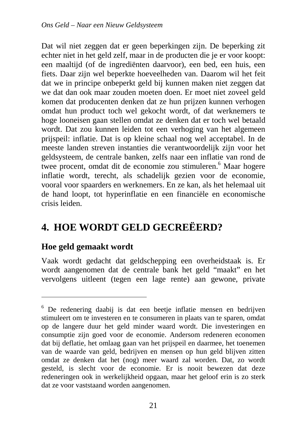Dat wil niet zeggen dat er geen beperkingen zijn. De beperking zit echter niet in het geld zelf, maar in de producten die je er voor koopt: een maaltijd (of de ingrediënten daarvoor), een bed, een huis, een fiets. Daar zijn wel beperkte hoeveelheden van. Daarom wil het feit dat we in principe onbeperkt geld bij kunnen maken niet zeggen dat we dat dan ook maar zouden moeten doen. Er moet niet zoveel geld komen dat producenten denken dat ze hun prijzen kunnen verhogen omdat hun product toch wel gekocht wordt, of dat werknemers te hoge looneisen gaan stellen omdat ze denken dat er toch wel betaald wordt. Dat zou kunnen leiden tot een verhoging van het algemeen prijspeil: inflatie. Dat is op kleine schaal nog wel acceptabel. In de meeste landen streven instanties die verantwoordelijk zijn voor het geldsysteem, de centrale banken, zelfs naar een inflatie van rond de twee procent, omdat dit de economie zou stimuleren.<sup>6</sup> Maar hogere inflatie wordt, terecht, als schadelijk gezien voor de economie, vooral voor spaarders en werknemers. En ze kan, als het helemaal uit de hand loopt, tot hyperinflatie en een financiële en economische crisis leiden.

# **4. HOE WORDT GELD GECREËERD?**

#### **Hoe geld gemaakt wordt**

 $\overline{a}$ 

Vaak wordt gedacht dat geldschepping een overheidstaak is. Er wordt aangenomen dat de centrale bank het geld "maakt" en het vervolgens uitleent (tegen een lage rente) aan gewone, private

<sup>&</sup>lt;sup>6</sup> De redenering daabij is dat een beetje inflatie mensen en bedrijven stimuleert om te investeren en te consumeren in plaats van te sparen, omdat op de langere duur het geld minder waard wordt. Die investeringen en consumptie zijn goed voor de economie. Andersom redeneren economen dat bij deflatie, het omlaag gaan van het prijspeil en daarmee, het toenemen van de waarde van geld, bedrijven en mensen op hun geld blijven zitten omdat ze denken dat het (nog) meer waard zal worden. Dat, zo wordt gesteld, is slecht voor de economie. Er is nooit bewezen dat deze redeneringen ook in werkelijkheid opgaan, maar het geloof erin is zo sterk dat ze voor vaststaand worden aangenomen.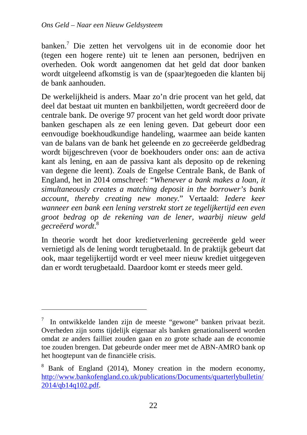banken.<sup>7</sup> Die zetten het vervolgens uit in de economie door het (tegen een hogere rente) uit te lenen aan personen, bedrijven en overheden. Ook wordt aangenomen dat het geld dat door banken wordt uitgeleend afkomstig is van de (spaar)tegoeden die klanten bij de bank aanhouden.

De werkelijkheid is anders. Maar zo'n drie procent van het geld, dat deel dat bestaat uit munten en bankbiljetten, wordt gecreëerd door de centrale bank. De overige 97 procent van het geld wordt door private banken geschapen als ze een lening geven. Dat gebeurt door een eenvoudige boekhoudkundige handeling, waarmee aan beide kanten van de balans van de bank het geleende en zo gecreëerde geldbedrag wordt bijgeschreven (voor de boekhouders onder ons: aan de activa kant als lening, en aan de passiva kant als deposito op de rekening van degene die leent). Zoals de Engelse Centrale Bank, de Bank of England, het in 2014 omschreef: "*Whenever a bank makes a loan, it simultaneously creates a matching deposit in the borrower's bank account, thereby creating new money.*" Vertaald: *Iedere keer wanneer een bank een lening verstrekt stort ze tegelijkertijd een even groot bedrag op de rekening van de lener, waarbij nieuw geld gecreëerd wordt*. 8

In theorie wordt het door kredietverlening gecreëerde geld weer vernietigd als de lening wordt terugbetaald. In de praktijk gebeurt dat ook, maar tegelijkertijd wordt er veel meer nieuw krediet uitgegeven dan er wordt terugbetaald. Daardoor komt er steeds meer geld.

<sup>7</sup> In ontwikkelde landen zijn de meeste "gewone" banken privaat bezit. Overheden zijn soms tijdelijk eigenaar als banken genationaliseerd worden omdat ze anders failliet zouden gaan en zo grote schade aan de economie toe zouden brengen. Dat gebeurde onder meer met de ABN-AMRO bank op het hoogtepunt van de financiële crisis.

<sup>&</sup>lt;sup>8</sup> Bank of England (2014), Money creation in the modern economy, http://www.bankofengland.co.uk/publications/Documents/quarterlybulletin/ 2014/qb14q102.pdf.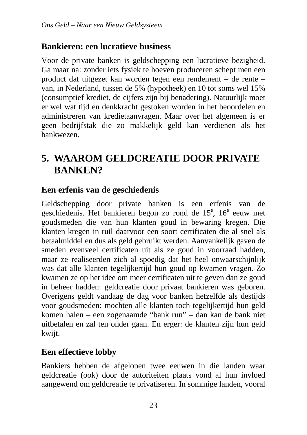#### **Bankieren: een lucratieve business**

Voor de private banken is geldschepping een lucratieve bezigheid. Ga maar na: zonder iets fysiek te hoeven produceren schept men een product dat uitgezet kan worden tegen een rendement – de rente – van, in Nederland, tussen de 5% (hypotheek) en 10 tot soms wel 15% (consumptief krediet, de cijfers zijn bij benadering). Natuurlijk moet er wel wat tijd en denkkracht gestoken worden in het beoordelen en administreren van kredietaanvragen. Maar over het algemeen is er geen bedrijfstak die zo makkelijk geld kan verdienen als het bankwezen.

# **5. WAAROM GELDCREATIE DOOR PRIVATE BANKEN?**

#### **Een erfenis van de geschiedenis**

Geldschepping door private banken is een erfenis van de geschiedenis. Het bankieren begon zo rond de 15<sup>e</sup>, 16<sup>e</sup> eeuw met goudsmeden die van hun klanten goud in bewaring kregen. Die klanten kregen in ruil daarvoor een soort certificaten die al snel als betaalmiddel en dus als geld gebruikt werden. Aanvankelijk gaven de smeden evenveel certificaten uit als ze goud in voorraad hadden, maar ze realiseerden zich al spoedig dat het heel onwaarschijnlijk was dat alle klanten tegelijkertijd hun goud op kwamen vragen. Zo kwamen ze op het idee om meer certificaten uit te geven dan ze goud in beheer hadden: geldcreatie door privaat bankieren was geboren. Overigens geldt vandaag de dag voor banken hetzelfde als destijds voor goudsmeden: mochten alle klanten toch tegelijkertijd hun geld komen halen – een zogenaamde "bank run" – dan kan de bank niet uitbetalen en zal ten onder gaan. En erger: de klanten zijn hun geld kwijt.

#### **Een effectieve lobby**

Bankiers hebben de afgelopen twee eeuwen in die landen waar geldcreatie (ook) door de autoriteiten plaats vond al hun invloed aangewend om geldcreatie te privatiseren. In sommige landen, vooral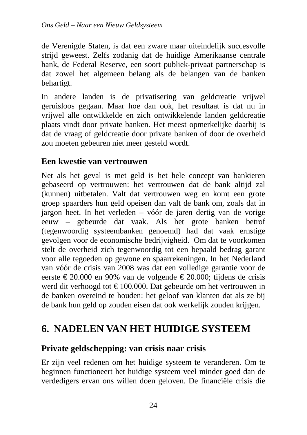de Verenigde Staten, is dat een zware maar uiteindelijk succesvolle strijd geweest. Zelfs zodanig dat de huidige Amerikaanse centrale bank, de Federal Reserve, een soort publiek-privaat partnerschap is dat zowel het algemeen belang als de belangen van de banken behartigt.

In andere landen is de privatisering van geldcreatie vrijwel geruisloos gegaan. Maar hoe dan ook, het resultaat is dat nu in vrijwel alle ontwikkelde en zich ontwikkelende landen geldcreatie plaats vindt door private banken. Het meest opmerkelijke daarbij is dat de vraag of geldcreatie door private banken of door de overheid zou moeten gebeuren niet meer gesteld wordt.

#### **Een kwestie van vertrouwen**

Net als het geval is met geld is het hele concept van bankieren gebaseerd op vertrouwen: het vertrouwen dat de bank altijd zal (kunnen) uitbetalen. Valt dat vertrouwen weg en komt een grote groep spaarders hun geld opeisen dan valt de bank om, zoals dat in jargon heet. In het verleden – vóór de jaren dertig van de vorige eeuw – gebeurde dat vaak. Als het grote banken betrof (tegenwoordig systeembanken genoemd) had dat vaak ernstige gevolgen voor de economische bedrijvigheid. Om dat te voorkomen stelt de overheid zich tegenwoordig tot een bepaald bedrag garant voor alle tegoeden op gewone en spaarrekeningen. In het Nederland van vóór de crisis van 2008 was dat een volledige garantie voor de eerste  $\epsilon$  20.000 en 90% van de volgende  $\epsilon$  20.000; tijdens de crisis werd dit verhoogd tot € 100.000. Dat gebeurde om het vertrouwen in de banken overeind te houden: het geloof van klanten dat als ze bij de bank hun geld op zouden eisen dat ook werkelijk zouden krijgen.

## **6. NADELEN VAN HET HUIDIGE SYSTEEM**

#### **Private geldschepping: van crisis naar crisis**

Er zijn veel redenen om het huidige systeem te veranderen. Om te beginnen functioneert het huidige systeem veel minder goed dan de verdedigers ervan ons willen doen geloven. De financiële crisis die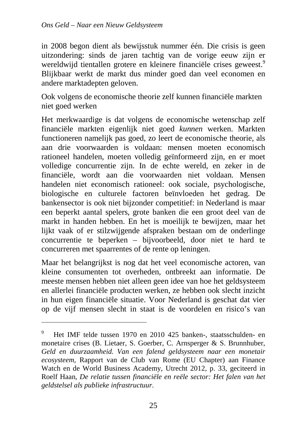in 2008 begon dient als bewijsstuk nummer één. Die crisis is geen uitzondering: sinds de jaren tachtig van de vorige eeuw zijn er wereldwijd tientallen grotere en kleinere financiële crises geweest.<sup>9</sup> Blijkbaar werkt de markt dus minder goed dan veel economen en andere marktadepten geloven.

Ook volgens de economische theorie zelf kunnen financiële markten niet goed werken

Het merkwaardige is dat volgens de economische wetenschap zelf financiële markten eigenlijk niet goed *kunnen* werken. Markten functioneren namelijk pas goed, zo leert de economische theorie, als aan drie voorwaarden is voldaan: mensen moeten economisch rationeel handelen, moeten volledig geïnformeerd zijn, en er moet volledige concurrentie zijn. In de echte wereld, en zeker in de financiële, wordt aan die voorwaarden niet voldaan. Mensen handelen niet economisch rationeel: ook sociale, psychologische, biologische en culturele factoren beïnvloeden het gedrag. De bankensector is ook niet bijzonder competitief: in Nederland is maar een beperkt aantal spelers, grote banken die een groot deel van de markt in handen hebben. En het is moeilijk te bewijzen, maar het lijkt vaak of er stilzwijgende afspraken bestaan om de onderlinge concurrentie te beperken – bijvoorbeeld, door niet te hard te concurreren met spaarrentes of de rente op leningen.

Maar het belangrijkst is nog dat het veel economische actoren, van kleine consumenten tot overheden, ontbreekt aan informatie. De meeste mensen hebben niet alleen geen idee van hoe het geldsysteem en allerlei financiële producten werken, ze hebben ook slecht inzicht in hun eigen financiële situatie. Voor Nederland is geschat dat vier op de vijf mensen slecht in staat is de voordelen en risico's van

<sup>9</sup> Het IMF telde tussen 1970 en 2010 425 banken-, staatsschulden- en monetaire crises (B. Lietaer, S. Goerber, C. Arnsperger & S. Brunnhuber, *Geld en duurzaamheid. Van een falend geldsysteem naar een monetair ecosysteem,* Rapport van de Club van Rome (EU Chapter) aan Finance Watch en de World Business Academy, Utrecht 2012, p. 33, geciteerd in Roelf Haan, *De relatie tussen financiële en reële sector: Het falen van het geldstelsel als publieke infrastructuur*.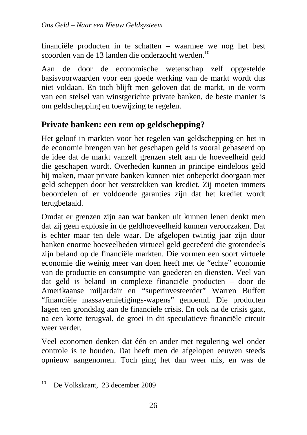financiële producten in te schatten – waarmee we nog het best scoorden van de 13 landen die onderzocht werden.<sup>10</sup>

Aan de door de economische wetenschap zelf opgestelde basisvoorwaarden voor een goede werking van de markt wordt dus niet voldaan. En toch blijft men geloven dat de markt, in de vorm van een stelsel van winstgerichte private banken, de beste manier is om geldschepping en toewijzing te regelen.

#### **Private banken: een rem op geldschepping?**

Het geloof in markten voor het regelen van geldschepping en het in de economie brengen van het geschapen geld is vooral gebaseerd op de idee dat de markt vanzelf grenzen stelt aan de hoeveelheid geld die geschapen wordt. Overheden kunnen in principe eindeloos geld bij maken, maar private banken kunnen niet onbeperkt doorgaan met geld scheppen door het verstrekken van krediet. Zij moeten immers beoordelen of er voldoende garanties zijn dat het krediet wordt terugbetaald.

Omdat er grenzen zijn aan wat banken uit kunnen lenen denkt men dat zij geen explosie in de geldhoeveelheid kunnen veroorzaken. Dat is echter maar ten dele waar. De afgelopen twintig jaar zijn door banken enorme hoeveelheden virtueel geld gecreëerd die grotendeels zijn beland op de financiële markten. Die vormen een soort virtuele economie die weinig meer van doen heeft met de "echte" economie van de productie en consumptie van goederen en diensten. Veel van dat geld is beland in complexe financiële producten – door de Amerikaanse miljardair en "superinvesteerder" Warren Buffett "financiële massavernietigings-wapens" genoemd. Die producten lagen ten grondslag aan de financiële crisis. En ook na de crisis gaat, na een korte terugval, de groei in dit speculatieve financiële circuit weer verder.

Veel economen denken dat één en ander met regulering wel onder controle is te houden. Dat heeft men de afgelopen eeuwen steeds opnieuw aangenomen. Toch ging het dan weer mis, en was de

<sup>10</sup> De Volkskrant, 23 december 2009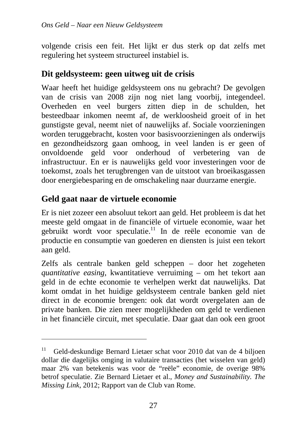volgende crisis een feit. Het lijkt er dus sterk op dat zelfs met regulering het systeem structureel instabiel is.

#### **Dit geldsysteem: geen uitweg uit de crisis**

Waar heeft het huidige geldsysteem ons nu gebracht? De gevolgen van de crisis van 2008 zijn nog niet lang voorbij, integendeel. Overheden en veel burgers zitten diep in de schulden, het besteedbaar inkomen neemt af, de werkloosheid groeit of in het gunstigste geval, neemt niet of nauwelijks af. Sociale voorzieningen worden teruggebracht, kosten voor basisvoorzieningen als onderwijs en gezondheidszorg gaan omhoog, in veel landen is er geen of onvoldoende geld voor onderhoud of verbetering van de infrastructuur. En er is nauwelijks geld voor investeringen voor de toekomst, zoals het terugbrengen van de uitstoot van broeikasgassen door energiebesparing en de omschakeling naar duurzame energie.

#### **Geld gaat naar de virtuele economie**

 $\overline{a}$ 

Er is niet zozeer een absoluut tekort aan geld. Het probleem is dat het meeste geld omgaat in de financiële of virtuele economie, waar het gebruikt wordt voor speculatie.<sup>11</sup> In de reële economie van de productie en consumptie van goederen en diensten is juist een tekort aan geld.

Zelfs als centrale banken geld scheppen – door het zogeheten *quantitative easing*, kwantitatieve verruiming – om het tekort aan geld in de echte economie te verhelpen werkt dat nauwelijks. Dat komt omdat in het huidige geldsysteem centrale banken geld niet direct in de economie brengen: ook dat wordt overgelaten aan de private banken. Die zien meer mogelijkheden om geld te verdienen in het financiële circuit, met speculatie. Daar gaat dan ook een groot

<sup>&</sup>lt;sup>11</sup> Geld-deskundige Bernard Lietaer schat voor 2010 dat van de 4 biljoen dollar die dagelijks omging in valutaire transacties (het wisselen van geld) maar 2% van betekenis was voor de "reële" economie, de overige 98% betrof speculatie. Zie Bernard Lietaer et al., *Money and Sustainability. The Missing Link*, 2012; Rapport van de Club van Rome.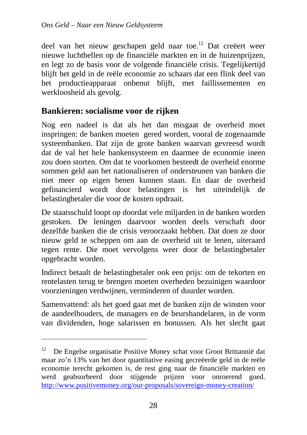deel van het nieuw geschapen geld naar toe.<sup>12</sup> Dat creëert weer nieuwe luchtbellen op de financiële markten en in de huizenprijzen, en legt zo de basis voor de volgende financiële crisis. Tegelijkertijd blijft het geld in de reële economie zo schaars dat een flink deel van het productieapparaat onbenut blijft, met faillissementen en werkloosheid als gevolg.

#### **Bankieren: socialisme voor de rijken**

 $\overline{a}$ 

Nog een nadeel is dat als het dan misgaat de overheid moet inspringen: de banken moeten gered worden, vooral de zogenaamde systeembanken. Dat zijn de grote banken waarvan gevreesd wordt dat de val het hele bankensysteem en daarmee de economie ineen zou doen storten. Om dat te voorkomen besteedt de overheid enorme sommen geld aan het nationaliseren of ondersteunen van banken die niet meer op eigen benen kunnen staan. En daar de overheid gefinancierd wordt door belastingen is het uiteindelijk de belastingbetaler die voor de kosten opdraait.

De staatsschuld loopt op doordat vele miljarden in de banken worden gestoken. De leningen daarvoor worden deels verschaft door dezelfde banken die de crisis veroorzaakt hebben. Dat doen ze door nieuw geld te scheppen om aan de overheid uit te lenen, uiteraard tegen rente. Die moet vervolgens weer door de belastingbetaler opgebracht worden.

Indirect betaalt de belastingbetaler ook een prijs: om de tekorten en rentelasten terug te brengen moeten overheden bezuinigen waardoor voorzieningen verdwijnen, verminderen of duurder worden.

Samenvattend: als het goed gaat met de banken zijn de winsten voor de aandeelhouders, de managers en de beurshandelaren, in de vorm van dividenden, hoge salarissen en bonussen. Als het slecht gaat

<sup>&</sup>lt;sup>12</sup> De Engelse organisatie Positive Money schat voor Groot Brittannië dat maar zo'n 13% van het door quantitative easing gecreëerde geld in de reële economie terecht gekomen is, de rest ging naar de financiële markten en werd geabsorbeerd door stijgende prijzen voor onroerend goed. http://www.positivemoney.org/our-proposals/sovereign-money-creation/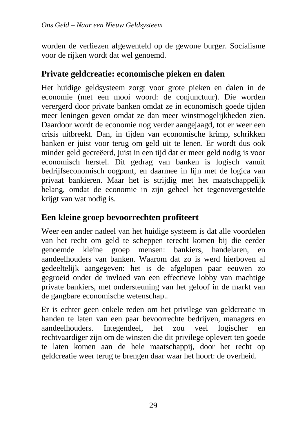worden de verliezen afgewenteld op de gewone burger. Socialisme voor de rijken wordt dat wel genoemd.

#### **Private geldcreatie: economische pieken en dalen**

Het huidige geldsysteem zorgt voor grote pieken en dalen in de economie (met een mooi woord: de conjunctuur). Die worden verergerd door private banken omdat ze in economisch goede tijden meer leningen geven omdat ze dan meer winstmogelijkheden zien. Daardoor wordt de economie nog verder aangejaagd, tot er weer een crisis uitbreekt. Dan, in tijden van economische krimp, schrikken banken er juist voor terug om geld uit te lenen. Er wordt dus ook minder geld gecreëerd, juist in een tijd dat er meer geld nodig is voor economisch herstel. Dit gedrag van banken is logisch vanuit bedrijfseconomisch oogpunt, en daarmee in lijn met de logica van privaat bankieren. Maar het is strijdig met het maatschappelijk belang, omdat de economie in zijn geheel het tegenovergestelde krijgt van wat nodig is.

#### **Een kleine groep bevoorrechten profiteert**

Weer een ander nadeel van het huidige systeem is dat alle voordelen van het recht om geld te scheppen terecht komen bij die eerder genoemde kleine groep mensen: bankiers, handelaren, en aandeelhouders van banken. Waarom dat zo is werd hierboven al gedeeltelijk aangegeven: het is de afgelopen paar eeuwen zo gegroeid onder de invloed van een effectieve lobby van machtige private bankiers, met ondersteuning van het geloof in de markt van de gangbare economische wetenschap..

Er is echter geen enkele reden om het privilege van geldcreatie in handen te laten van een paar bevoorrechte bedrijven, managers en aandeelhouders. Integendeel, het zou veel logischer en rechtvaardiger zijn om de winsten die dit privilege oplevert ten goede te laten komen aan de hele maatschappij, door het recht op geldcreatie weer terug te brengen daar waar het hoort: de overheid.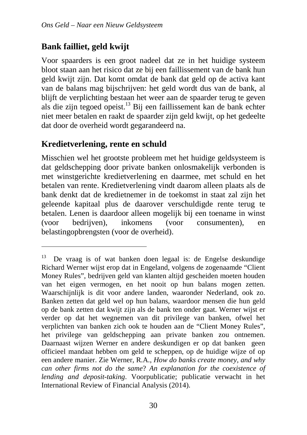#### **Bank failliet, geld kwijt**

Voor spaarders is een groot nadeel dat ze in het huidige systeem bloot staan aan het risico dat ze bij een faillissement van de bank hun geld kwijt zijn. Dat komt omdat de bank dat geld op de activa kant van de balans mag bijschrijven: het geld wordt dus van de bank, al blijft de verplichting bestaan het weer aan de spaarder terug te geven als die zijn tegoed opeist.<sup>13</sup> Bij een faillissement kan de bank echter niet meer betalen en raakt de spaarder zijn geld kwijt, op het gedeelte dat door de overheid wordt gegarandeerd na.

#### **Kredietverlening, rente en schuld**

 $\overline{a}$ 

Misschien wel het grootste probleem met het huidige geldsysteem is dat geldschepping door private banken onlosmakelijk verbonden is met winstgerichte kredietverlening en daarmee, met schuld en het betalen van rente. Kredietverlening vindt daarom alleen plaats als de bank denkt dat de kredietnemer in de toekomst in staat zal zijn het geleende kapitaal plus de daarover verschuldigde rente terug te betalen. Lenen is daardoor alleen mogelijk bij een toename in winst (voor bedrijven), inkomens (voor consumenten), en belastingopbrengsten (voor de overheid).

<sup>&</sup>lt;sup>13</sup> De vraag is of wat banken doen legaal is: de Engelse deskundige Richard Werner wijst erop dat in Engeland, volgens de zogenaamde "Client Money Rules", bedrijven geld van klanten altijd gescheiden moeten houden van het eigen vermogen, en het nooit op hun balans mogen zetten. Waarschijnlijk is dit voor andere landen, waaronder Nederland, ook zo. Banken zetten dat geld wel op hun balans, waardoor mensen die hun geld op de bank zetten dat kwijt zijn als de bank ten onder gaat. Werner wijst er verder op dat het wegnemen van dit privilege van banken, ofwel het verplichten van banken zich ook te houden aan de "Client Money Rules", het privilege van geldschepping aan private banken zou ontnemen. Daarnaast wijzen Werner en andere deskundigen er op dat banken geen officieel mandaat hebben om geld te scheppen, op de huidige wijze of op een andere manier. Zie Werner, R.A., *How do banks create money, and why can other firms not do the same*? *An explanation for the coexistence of lending and deposit-taking*. Voorpublicatie; publicatie verwacht in het International Review of Financial Analysis (2014).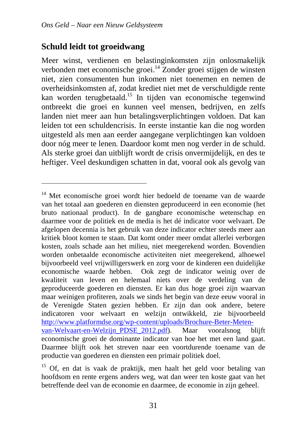#### **Schuld leidt tot groeidwang**

 $\overline{a}$ 

Meer winst, verdienen en belastinginkomsten zijn onlosmakelijk verbonden met economische groei.<sup>14</sup> Zonder groei stijgen de winsten niet, zien consumenten hun inkomen niet toenemen en nemen de overheidsinkomsten af, zodat krediet niet met de verschuldigde rente kan worden terugbetaald.<sup>15</sup> In tijden van economische tegenwind ontbreekt die groei en kunnen veel mensen, bedrijven, en zelfs landen niet meer aan hun betalingsverplichtingen voldoen. Dat kan leiden tot een schuldencrisis. In eerste instantie kan die nog worden uitgesteld als men aan eerder aangegane verplichtingen kan voldoen door nóg meer te lenen. Daardoor komt men nog verder in de schuld. Als sterke groei dan uitblijft wordt de crisis onvermijdelijk, en des te heftiger. Veel deskundigen schatten in dat, vooral ook als gevolg van

<sup>14</sup> Met economische groei wordt hier bedoeld de toename van de waarde van het totaal aan goederen en diensten geproduceerd in een economie (het bruto nationaal product). In de gangbare economische wetenschap en daarmee voor de politiek en de media is het dé indicator voor welvaart. De afgelopen decennia is het gebruik van deze indicator echter steeds meer aan kritiek bloot komen te staan. Dat komt onder meer omdat allerlei verborgen kosten, zoals schade aan het milieu, niet meegerekend worden. Bovendien worden onbetaalde economische activiteiten niet meegerekend, alhoewel bijvoorbeeld veel vrijwilligerswerk en zorg voor de kinderen een duidelijke economische waarde hebben. Ook zegt de indicator weinig over de kwaliteit van leven en helemaal niets over de verdeling van de geproduceerde goederen en diensten. Er kan dus hoge groei zijn waarvan maar weinigen profiteren, zoals we sinds het begin van deze eeuw vooral in de Verenigde Staten gezien hebben. Er zijn dan ook andere, betere indicatoren voor welvaart en welzijn ontwikkeld, zie bijvoorbeeld http://www.platformdse.org/wp-content/uploads/Brochure-Beter-Metenvan-Welvaart-en-Welzijn\_PDSE\_2012.pdf). Maar vooralsnog blijft economische groei de dominante indicator van hoe het met een land gaat. Daarmee blijft ook het streven naar een voortdurende toename van de productie van goederen en diensten een primair politiek doel.

<sup>&</sup>lt;sup>15</sup> Of, en dat is vaak de praktijk, men haalt het geld voor betaling van hoofdsom en rente ergens anders weg, wat dan weer ten koste gaat van het betreffende deel van de economie en daarmee, de economie in zijn geheel.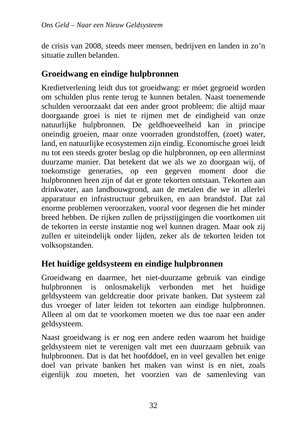de crisis van 2008, steeds meer mensen, bedrijven en landen in zo'n situatie zullen belanden.

#### **Groeidwang en eindige hulpbronnen**

Kredietverlening leidt dus tot groeidwang: er móet gegroeid worden om schulden plus rente terug te kunnen betalen. Naast toenemende schulden veroorzaakt dat een ander groot probleem: die altijd maar doorgaande groei is niet te rijmen met de eindigheid van onze natuurlijke hulpbronnen. De geldhoeveelheid kan in principe oneindig groeien, maar onze voorraden grondstoffen, (zoet) water, land, en natuurlijke ecosystemen zijn eindig. Economische groei leidt nu tot een steeds groter beslag op die hulpbronnen, op een allerminst duurzame manier. Dat betekent dat we als we zo doorgaan wij, of toekomstige generaties, op een gegeven moment door die hulpbronnen heen zijn of dat er grote tekorten ontstaan. Tekorten aan drinkwater, aan landbouwgrond, aan de metalen die we in allerlei apparatuur en infrastructuur gebruiken, en aan brandstof. Dat zal enorme problemen veroorzaken, vooral voor degenen die het minder breed hebben. De rijken zullen de prijsstijgingen die voortkomen uit de tekorten in eerste instantie nog wel kunnen dragen. Maar ook zij zullen er uiteindelijk onder lijden, zeker als de tekorten leiden tot volksopstanden.

#### **Het huidige geldsysteem en eindige hulpbronnen**

Groeidwang en daarmee, het niet-duurzame gebruik van eindige hulpbronnen is onlosmakelijk verbonden met het huidige geldsysteem van geldcreatie door private banken. Dat systeem zal dus vroeger of later leiden tot tekorten aan eindige hulpbronnen. Alleen al om dat te voorkomen moeten we dus toe naar een ander geldsysteem.

Naast groeidwang is er nog een andere reden waarom het huidige geldsysteem niet te verenigen valt met een duurzaam gebruik van hulpbronnen. Dat is dat het hoofddoel, en in veel gevallen het enige doel van private banken het maken van winst is en niet, zoals eigenlijk zou moeten, het voorzien van de samenleving van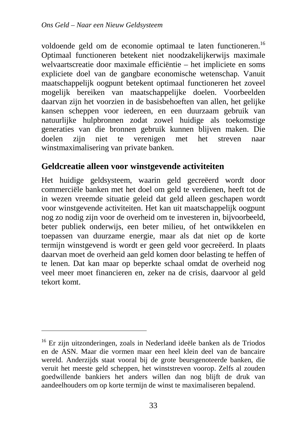voldoende geld om de economie optimaal te laten functioneren.<sup>16</sup> Optimaal functioneren betekent niet noodzakelijkerwijs maximale welvaartscreatie door maximale efficiëntie – het impliciete en soms expliciete doel van de gangbare economische wetenschap. Vanuit maatschappelijk oogpunt betekent optimaal functioneren het zoveel mogelijk bereiken van maatschappelijke doelen. Voorbeelden daarvan zijn het voorzien in de basisbehoeften van allen, het gelijke kansen scheppen voor iedereen, en een duurzaam gebruik van natuurlijke hulpbronnen zodat zowel huidige als toekomstige generaties van die bronnen gebruik kunnen blijven maken. Die doelen zijn niet te verenigen met het streven naar winstmaximalisering van private banken.

#### **Geldcreatie alleen voor winstgevende activiteiten**

Het huidige geldsysteem, waarin geld gecreëerd wordt door commerciële banken met het doel om geld te verdienen, heeft tot de in wezen vreemde situatie geleid dat geld alleen geschapen wordt voor winstgevende activiteiten. Het kan uit maatschappelijk oogpunt nog zo nodig zijn voor de overheid om te investeren in, bijvoorbeeld, beter publiek onderwijs, een beter milieu, of het ontwikkelen en toepassen van duurzame energie, maar als dat niet op de korte termiin winstgevend is wordt er geen geld voor gecreëerd. In plaats daarvan moet de overheid aan geld komen door belasting te heffen of te lenen. Dat kan maar op beperkte schaal omdat de overheid nog veel meer moet financieren en, zeker na de crisis, daarvoor al geld tekort komt.

<sup>&</sup>lt;sup>16</sup> Er zijn uitzonderingen, zoals in Nederland ideële banken als de Triodos en de ASN. Maar die vormen maar een heel klein deel van de bancaire wereld. Anderzijds staat vooral bij de grote beursgenoteerde banken, die veruit het meeste geld scheppen, het winststreven voorop. Zelfs al zouden goedwillende bankiers het anders willen dan nog blijft de druk van aandeelhouders om op korte termijn de winst te maximaliseren bepalend.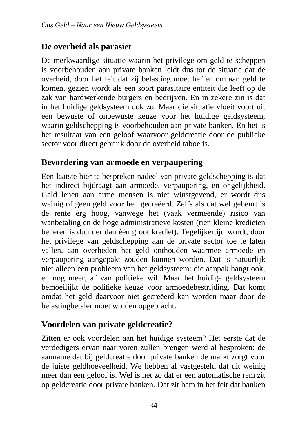#### **De overheid als parasiet**

De merkwaardige situatie waarin het privilege om geld te scheppen is voorbehouden aan private banken leidt dus tot de situatie dat de overheid, door het feit dat zij belasting moet heffen om aan geld te komen, gezien wordt als een soort parasitaire entiteit die leeft op de zak van hardwerkende burgers en bedrijven. En in zekere zin is dat in het huidige geldsysteem ook zo. Maar die situatie vloeit voort uit een bewuste of onbewuste keuze voor het huidige geldsysteem, waarin geldschepping is voorbehouden aan private banken. En het is het resultaat van een geloof waarvoor geldcreatie door de publieke sector voor direct gebruik door de overheid taboe is.

#### **Bevordering van armoede en verpaupering**

Een laatste hier te bespreken nadeel van private geldschepping is dat het indirect bijdraagt aan armoede, verpaupering, en ongelijkheid. Geld lenen aan arme mensen is niet winstgevend, er wordt dus weinig of geen geld voor hen gecreëerd. Zelfs als dat wel gebeurt is de rente erg hoog, vanwege het (vaak vermeende) risico van wanbetaling en de hoge administratieve kosten (tien kleine kredieten beheren is duurder dan één groot krediet). Tegelijkertijd wordt, door het privilege van geldschepping aan de private sector toe te laten vallen, aan overheden het geld onthouden waarmee armoede en verpaupering aangepakt zouden kunnen worden. Dat is natuurlijk niet alleen een probleem van het geldsysteem: die aanpak hangt ook, en nog meer, af van politieke wil. Maar het huidige geldsysteem bemoeilijkt de politieke keuze voor armoedebestrijding. Dat komt omdat het geld daarvoor niet gecreëerd kan worden maar door de belastingbetaler moet worden opgebracht.

#### **Voordelen van private geldcreatie?**

Zitten er ook voordelen aan het huidige systeem? Het eerste dat de verdedigers ervan naar voren zullen brengen werd al besproken: de aanname dat bij geldcreatie door private banken de markt zorgt voor de juiste geldhoeveelheid. We hebben al vastgesteld dat dit weinig meer dan een geloof is. Wel is het zo dat er een automatische rem zit op geldcreatie door private banken. Dat zit hem in het feit dat banken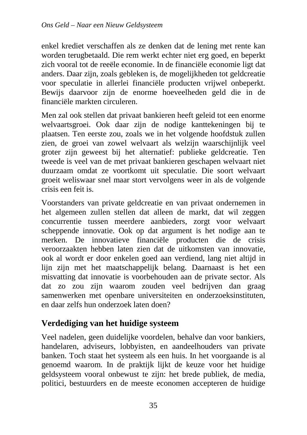enkel krediet verschaffen als ze denken dat de lening met rente kan worden terugbetaald. Die rem werkt echter niet erg goed, en beperkt zich vooral tot de reeële economie. In de financiële economie ligt dat anders. Daar zijn, zoals gebleken is, de mogelijkheden tot geldcreatie voor speculatie in allerlei financiële producten vrijwel onbeperkt. Bewijs daarvoor zijn de enorme hoeveelheden geld die in de financiële markten circuleren.

Men zal ook stellen dat privaat bankieren heeft geleid tot een enorme welvaartsgroei. Ook daar zijn de nodige kanttekeningen bij te plaatsen. Ten eerste zou, zoals we in het volgende hoofdstuk zullen zien, de groei van zowel welvaart als welzijn waarschijnlijk veel groter zijn geweest bij het alternatief: publieke geldcreatie. Ten tweede is veel van de met privaat bankieren geschapen welvaart niet duurzaam omdat ze voortkomt uit speculatie. Die soort welvaart groeit weliswaar snel maar stort vervolgens weer in als de volgende crisis een feit is.

Voorstanders van private geldcreatie en van privaat ondernemen in het algemeen zullen stellen dat alleen de markt, dat wil zeggen concurrentie tussen meerdere aanbieders, zorgt voor welvaart scheppende innovatie. Ook op dat argument is het nodige aan te merken. De innovatieve financiële producten die de crisis veroorzaakten hebben laten zien dat de uitkomsten van innovatie, ook al wordt er door enkelen goed aan verdiend, lang niet altijd in lijn zijn met het maatschappelijk belang. Daarnaast is het een misvatting dat innovatie is voorbehouden aan de private sector. Als dat zo zou zijn waarom zouden veel bedrijven dan graag samenwerken met openbare universiteiten en onderzoeksinstituten, en daar zelfs hun onderzoek laten doen?

#### **Verdediging van het huidige systeem**

Veel nadelen, geen duidelijke voordelen, behalve dan voor bankiers, handelaren, adviseurs, lobbyisten, en aandeelhouders van private banken. Toch staat het systeem als een huis. In het voorgaande is al genoemd waarom. In de praktijk lijkt de keuze voor het huidige geldsysteem vooral onbewust te zijn: het brede publiek, de media, politici, bestuurders en de meeste economen accepteren de huidige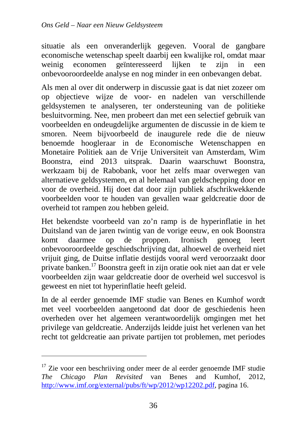situatie als een onveranderlijk gegeven. Vooral de gangbare economische wetenschap speelt daarbij een kwalijke rol, omdat maar weinig economen geïnteresseerd lijken te zijn in een onbevooroordeelde analyse en nog minder in een onbevangen debat.

Als men al over dit onderwerp in discussie gaat is dat niet zozeer om op objectieve wijze de voor- en nadelen van verschillende geldsystemen te analyseren, ter ondersteuning van de politieke besluitvorming. Nee, men probeert dan met een selectief gebruik van voorbeelden en ondeugdelijke argumenten de discussie in de kiem te smoren. Neem bijvoorbeeld de inaugurele rede die de nieuw benoemde hoogleraar in de Economische Wetenschappen en Monetaire Politiek aan de Vrije Universiteit van Amsterdam, Wim Boonstra, eind 2013 uitsprak. Daarin waarschuwt Boonstra, werkzaam bij de Rabobank, voor het zelfs maar overwegen van alternatieve geldsystemen, en al helemaal van geldschepping door en voor de overheid. Hij doet dat door zijn publiek afschrikwekkende voorbeelden voor te houden van gevallen waar geldcreatie door de overheid tot rampen zou hebben geleid.

Het bekendste voorbeeld van zo'n ramp is de hyperinflatie in het Duitsland van de jaren twintig van de vorige eeuw, en ook Boonstra komt daarmee op de proppen. Ironisch genoeg leert onbevooroordeelde geschiedschrijving dat, alhoewel de overheid niet vrijuit ging, de Duitse inflatie destijds vooral werd veroorzaakt door private banken.<sup>17</sup> Boonstra geeft in zijn oratie ook niet aan dat er vele voorbeelden zijn waar geldcreatie door de overheid wel succesvol is geweest en niet tot hyperinflatie heeft geleid.

In de al eerder genoemde IMF studie van Benes en Kumhof wordt met veel voorbeelden aangetoond dat door de geschiedenis heen overheden over het algemeen verantwoordelijk omgingen met het privilege van geldcreatie. Anderzijds leidde juist het verlenen van het recht tot geldcreatie aan private partijen tot problemen, met periodes

<sup>&</sup>lt;sup>17</sup> Zie voor een beschriiving onder meer de al eerder genoemde IMF studie *The Chicago Plan Revisited* van Benes and Kumhof, 2012, http://www.imf.org/external/pubs/ft/wp/2012/wp12202.pdf, pagina 16.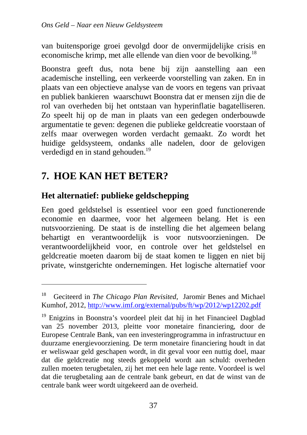van buitensporige groei gevolgd door de onvermijdelijke crisis en economische krimp, met alle ellende van dien voor de bevolking.<sup>18</sup>

Boonstra geeft dus, nota bene bij zijn aanstelling aan een academische instelling, een verkeerde voorstelling van zaken. En in plaats van een objectieve analyse van de voors en tegens van privaat en publiek bankieren waarschuwt Boonstra dat er mensen zijn die de rol van overheden bij het ontstaan van hyperinflatie bagatelliseren. Zo speelt hij op de man in plaats van een gedegen onderbouwde argumentatie te geven: degenen die publieke geldcreatie voorstaan of zelfs maar overwegen worden verdacht gemaakt. Zo wordt het huidige geldsysteem, ondanks alle nadelen, door de gelovigen verdedigd en in stand gehouden.<sup>19</sup>

## **7. HOE KAN HET BETER?**

 $\overline{a}$ 

## **Het alternatief: publieke geldschepping**

Een goed geldstelsel is essentieel voor een goed functionerende economie en daarmee, voor het algemeen belang. Het is een nutsvoorziening. De staat is de instelling die het algemeen belang behartigt en verantwoordelijk is voor nutsvoorzieningen. De verantwoordelijkheid voor, en controle over het geldstelsel en geldcreatie moeten daarom bij de staat komen te liggen en niet bij private, winstgerichte ondernemingen. Het logische alternatief voor

<sup>18</sup> Geciteerd in *The Chicago Plan Revisited*, Jaromir Benes and Michael Kumhof, 2012, http://www.imf.org/external/pubs/ft/wp/2012/wp12202.pdf

<sup>&</sup>lt;sup>19</sup> Enigzins in Boonstra's voordeel pleit dat hij in het Financieel Dagblad van 25 november 2013, pleitte voor monetaire financiering, door de Europese Centrale Bank, van een investeringprogramma in infrastructuur en duurzame energievoorziening. De term monetaire financiering houdt in dat er weliswaar geld geschapen wordt, in dit geval voor een nuttig doel, maar dat die geldcreatie nog steeds gekoppeld wordt aan schuld: overheden zullen moeten terugbetalen, zij het met een hele lage rente. Voordeel is wel dat die terugbetaling aan de centrale bank gebeurt, en dat de winst van de centrale bank weer wordt uitgekeerd aan de overheid.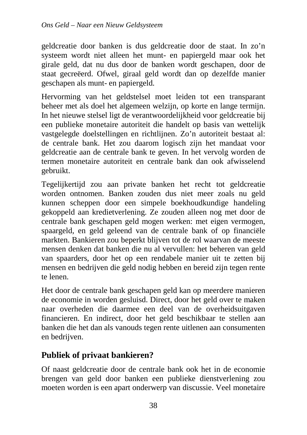geldcreatie door banken is dus geldcreatie door de staat. In zo'n systeem wordt niet alleen het munt- en papiergeld maar ook het girale geld, dat nu dus door de banken wordt geschapen, door de staat gecreëerd. Ofwel, giraal geld wordt dan op dezelfde manier geschapen als munt- en papiergeld.

Hervorming van het geldstelsel moet leiden tot een transparant beheer met als doel het algemeen welzijn, op korte en lange termijn. In het nieuwe stelsel ligt de verantwoordelijkheid voor geldcreatie bij een publieke monetaire autoriteit die handelt op basis van wettelijk vastgelegde doelstellingen en richtlijnen. Zo'n autoriteit bestaat al: de centrale bank. Het zou daarom logisch zijn het mandaat voor geldcreatie aan de centrale bank te geven. In het vervolg worden de termen monetaire autoriteit en centrale bank dan ook afwisselend gebruikt.

Tegelijkertijd zou aan private banken het recht tot geldcreatie worden ontnomen. Banken zouden dus niet meer zoals nu geld kunnen scheppen door een simpele boekhoudkundige handeling gekoppeld aan kredietverlening. Ze zouden alleen nog met door de centrale bank geschapen geld mogen werken: met eigen vermogen, spaargeld, en geld geleend van de centrale bank of op financiële markten. Bankieren zou beperkt blijven tot de rol waarvan de meeste mensen denken dat banken die nu al vervullen: het beheren van geld van spaarders, door het op een rendabele manier uit te zetten bij mensen en bedrijven die geld nodig hebben en bereid zijn tegen rente te lenen.

Het door de centrale bank geschapen geld kan op meerdere manieren de economie in worden gesluisd. Direct, door het geld over te maken naar overheden die daarmee een deel van de overheidsuitgaven financieren. En indirect, door het geld beschikbaar te stellen aan banken die het dan als vanouds tegen rente uitlenen aan consumenten en bedrijven.

## **Publiek of privaat bankieren?**

Of naast geldcreatie door de centrale bank ook het in de economie brengen van geld door banken een publieke dienstverlening zou moeten worden is een apart onderwerp van discussie. Veel monetaire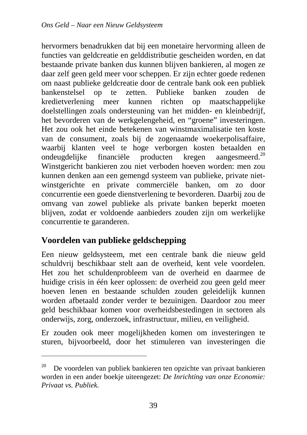hervormers benadrukken dat bij een monetaire hervorming alleen de functies van geldcreatie en gelddistributie gescheiden worden, en dat bestaande private banken dus kunnen blijven bankieren, al mogen ze daar zelf geen geld meer voor scheppen. Er zijn echter goede redenen om naast publieke geldcreatie door de centrale bank ook een publiek bankenstelsel op te zetten. Publieke banken zouden de kredietverlening meer kunnen richten op maatschappelijke doelstellingen zoals ondersteuning van het midden- en kleinbedrijf, het bevorderen van de werkgelengeheid, en "groene" investeringen. Het zou ook het einde betekenen van winstmaximalisatie ten koste van de consument, zoals bij de zogenaamde woekerpolisaffaire, waarbij klanten veel te hoge verborgen kosten betaalden en ondeugdelijke financiële producten kregen aangesmeerd.<sup>20</sup> Winstgericht bankieren zou niet verboden hoeven worden: men zou kunnen denken aan een gemengd systeem van publieke, private nietwinstgerichte en private commerciële banken, om zo door concurrentie een goede dienstverlening te bevorderen. Daarbij zou de omvang van zowel publieke als private banken beperkt moeten blijven, zodat er voldoende aanbieders zouden zijn om werkelijke concurrentie te garanderen.

## **Voordelen van publieke geldschepping**

 $\overline{a}$ 

Een nieuw geldsysteem, met een centrale bank die nieuw geld schuldvrij beschikbaar stelt aan de overheid, kent vele voordelen. Het zou het schuldenprobleem van de overheid en daarmee de huidige crisis in één keer oplossen: de overheid zou geen geld meer hoeven lenen en bestaande schulden zouden geleidelijk kunnen worden afbetaald zonder verder te bezuinigen. Daardoor zou meer geld beschikbaar komen voor overheidsbestedingen in sectoren als onderwijs, zorg, onderzoek, infrastructuur, milieu, en veiligheid.

Er zouden ook meer mogelijkheden komen om investeringen te sturen, bijvoorbeeld, door het stimuleren van investeringen die

 $20$  De voordelen van publiek bankieren ten opzichte van privaat bankieren worden in een ander boekje uiteengezet: *De Inrichting van onze Economie: Privaat vs. Publiek.*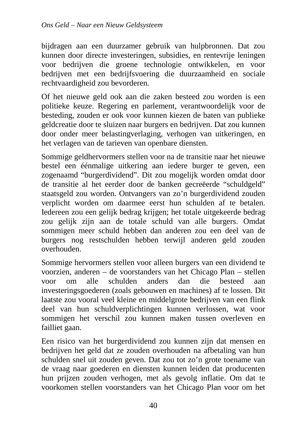bijdragen aan een duurzamer gebruik van hulpbronnen. Dat zou kunnen door directe investeringen, subsidies, en rentevrije leningen voor bedrijven die groene technologie ontwikkelen, en voor bedrijven met een bedrijfsvoering die duurzaamheid en sociale rechtvaardigheid zou bevorderen.

Of het nieuwe geld ook aan die zaken besteed zou worden is een politieke keuze. Regering en parlement, verantwoordelijk voor de besteding, zouden er ook voor kunnen kiezen de baten van publieke geldcreatie door te sluizen naar burgers en bedrijven. Dat zou kunnen door onder meer belastingverlaging, verhogen van uitkeringen, en het verlagen van de tarieven van openbare diensten.

Sommige geldhervormers stellen voor na de transitie naar het nieuwe bestel een éénmalige uitkering aan iedere burger te geven, een zogenaamd "burgerdividend". Dit zou mogelijk worden omdat door de transitie al het eerder door de banken gecreëerde "schuldgeld" staatsgeld zou worden. Ontvangers van zo'n burgerdividend zouden verplicht worden om daarmee eerst hun schulden af te betalen. Iedereen zou een gelijk bedrag krijgen; het totale uitgekeerde bedrag zou gelijk zijn aan de totale schuld van alle burgers. Omdat sommigen meer schuld hebben dan anderen zou een deel van de burgers nog restschulden hebben terwijl anderen geld zouden overhouden.

Sommige hervormers stellen voor alleen burgers van een dividend te voorzien, anderen – de voorstanders van het Chicago Plan – stellen voor om alle schulden anders dan die besteed aan investeringsgoederen (zoals gebouwen en machines) af te lossen. Dit laatste zou vooral veel kleine en middelgrote bedrijven van een flink deel van hun schuldverplichtingen kunnen verlossen, wat voor sommigen het verschil zou kunnen maken tussen overleven en failliet gaan.

Een risico van het burgerdividend zou kunnen zijn dat mensen en bedrijven het geld dat ze zouden overhouden na afbetaling van hun schulden snel uit zouden geven. Dat zou tot zo'n grote toename van de vraag naar goederen en diensten kunnen leiden dat producenten hun prijzen zouden verhogen, met als gevolg inflatie. Om dat te voorkomen stellen voorstanders van het Chicago Plan voor om het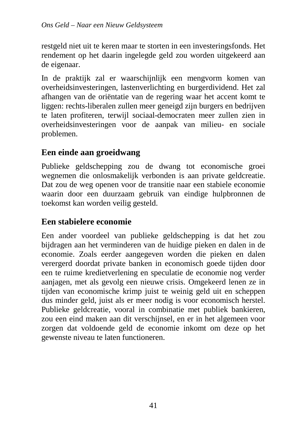restgeld niet uit te keren maar te storten in een investeringsfonds. Het rendement op het daarin ingelegde geld zou worden uitgekeerd aan de eigenaar.

In de praktijk zal er waarschijnlijk een mengvorm komen van overheidsinvesteringen, lastenverlichting en burgerdividend. Het zal afhangen van de oriëntatie van de regering waar het accent komt te liggen: rechts-liberalen zullen meer geneigd zijn burgers en bedrijven te laten profiteren, terwijl sociaal-democraten meer zullen zien in overheidsinvesteringen voor de aanpak van milieu- en sociale problemen.

## **Een einde aan groeidwang**

Publieke geldschepping zou de dwang tot economische groei wegnemen die onlosmakelijk verbonden is aan private geldcreatie. Dat zou de weg openen voor de transitie naar een stabiele economie waarin door een duurzaam gebruik van eindige hulpbronnen de toekomst kan worden veilig gesteld.

## **Een stabielere economie**

Een ander voordeel van publieke geldschepping is dat het zou bijdragen aan het verminderen van de huidige pieken en dalen in de economie. Zoals eerder aangegeven worden die pieken en dalen verergerd doordat private banken in economisch goede tijden door een te ruime kredietverlening en speculatie de economie nog verder aanjagen, met als gevolg een nieuwe crisis. Omgekeerd lenen ze in tijden van economische krimp juist te weinig geld uit en scheppen dus minder geld, juist als er meer nodig is voor economisch herstel. Publieke geldcreatie, vooral in combinatie met publiek bankieren, zou een eind maken aan dit verschijnsel, en er in het algemeen voor zorgen dat voldoende geld de economie inkomt om deze op het gewenste niveau te laten functioneren.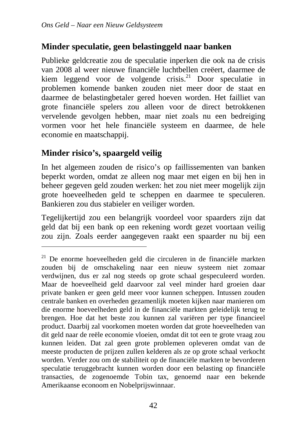## **Minder speculatie, geen belastinggeld naar banken**

Publieke geldcreatie zou de speculatie inperken die ook na de crisis van 2008 al weer nieuwe financiële luchtbellen creëert, daarmee de kiem leggend voor de volgende crisis.<sup>21</sup> Door speculatie in problemen komende banken zouden niet meer door de staat en daarmee de belastingbetaler gered hoeven worden. Het failliet van grote financiële spelers zou alleen voor de direct betrokkenen vervelende gevolgen hebben, maar niet zoals nu een bedreiging vormen voor het hele financiële systeem en daarmee, de hele economie en maatschappij.

## **Minder risico's, spaargeld veilig**

 $\overline{a}$ 

In het algemeen zouden de risico's op faillissementen van banken beperkt worden, omdat ze alleen nog maar met eigen en bij hen in beheer gegeven geld zouden werken: het zou niet meer mogelijk zijn grote hoeveelheden geld te scheppen en daarmee te speculeren. Bankieren zou dus stabieler en veiliger worden.

Tegelijkertijd zou een belangrijk voordeel voor spaarders zijn dat geld dat bij een bank op een rekening wordt gezet voortaan veilig zou zijn. Zoals eerder aangegeven raakt een spaarder nu bij een

<sup>&</sup>lt;sup>21</sup> De enorme hoeveelheden geld die circuleren in de financiële markten zouden bij de omschakeling naar een nieuw systeem niet zomaar verdwijnen, dus er zal nog steeds op grote schaal gespeculeerd worden. Maar de hoeveelheid geld daarvoor zal veel minder hard groeien daar private banken er geen geld meer voor kunnen scheppen. Intussen zouden centrale banken en overheden gezamenlijk moeten kijken naar manieren om die enorme hoeveelheden geld in de financiële markten geleidelijk terug te brengen. Hoe dat het beste zou kunnen zal variëren per type financieel product. Daarbij zal voorkomen moeten worden dat grote hoeveelheden van dit geld naar de reële economie vloeien, omdat dit tot een te grote vraag zou kunnen leiden. Dat zal geen grote problemen opleveren omdat van de meeste producten de prijzen zullen kelderen als ze op grote schaal verkocht worden. Verder zou om de stabiliteit op de financiële markten te bevorderen speculatie teruggebracht kunnen worden door een belasting op financiële transacties, de zogenoemde Tobin tax, genoemd naar een bekende Amerikaanse econoom en Nobelprijswinnaar.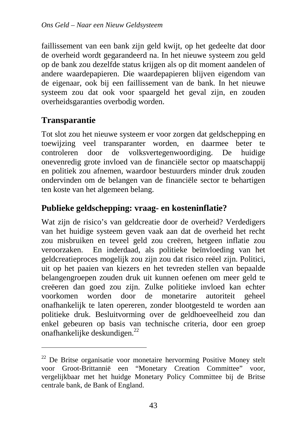faillissement van een bank zijn geld kwijt, op het gedeelte dat door de overheid wordt gegarandeerd na. In het nieuwe systeem zou geld op de bank zou dezelfde status krijgen als op dit moment aandelen of andere waardepapieren. Die waardepapieren blijven eigendom van de eigenaar, ook bij een faillissement van de bank. In het nieuwe systeem zou dat ook voor spaargeld het geval zijn, en zouden overheidsgaranties overbodig worden.

## **Transparantie**

 $\overline{a}$ 

Tot slot zou het nieuwe systeem er voor zorgen dat geldschepping en toewijzing veel transparanter worden, en daarmee beter te controleren door de volksvertegenwoordiging. De huidige onevenredig grote invloed van de financiële sector op maatschappij en politiek zou afnemen, waardoor bestuurders minder druk zouden ondervinden om de belangen van de financiële sector te behartigen ten koste van het algemeen belang.

## **Publieke geldschepping: vraag- en kosteninflatie?**

Wat zijn de risico's van geldcreatie door de overheid? Verdedigers van het huidige systeem geven vaak aan dat de overheid het recht zou misbruiken en teveel geld zou creëren, hetgeen inflatie zou veroorzaken. En inderdaad, als politieke beïnvloeding van het geldcreatieproces mogelijk zou zijn zou dat risico reëel zijn. Politici, uit op het paaien van kiezers en het tevreden stellen van bepaalde belangengroepen zouden druk uit kunnen oefenen om meer geld te creëeren dan goed zou zijn. Zulke politieke invloed kan echter voorkomen worden door de monetarire autoriteit geheel onafhankelijk te laten opereren, zonder blootgesteld te worden aan politieke druk. Besluitvorming over de geldhoeveelheid zou dan enkel gebeuren op basis van technische criteria, door een groep onafhankelijke deskundigen.<sup>22</sup>

<sup>22</sup> De Britse organisatie voor monetaire hervorming Positive Money stelt voor Groot-Brittannië een "Monetary Creation Committee" voor, vergelijkbaar met het huidge Monetary Policy Committee bij de Britse centrale bank, de Bank of England.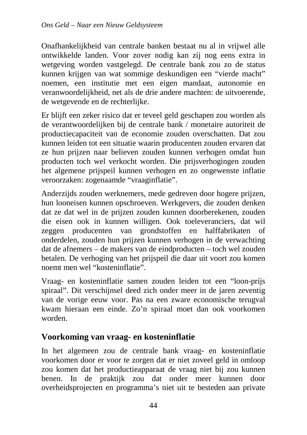Onafhankelijkheid van centrale banken bestaat nu al in vrijwel alle ontwikkelde landen. Voor zover nodig kan zij nog eens extra in wetgeving worden vastgelegd. De centrale bank zou zo de status kunnen krijgen van wat sommige deskundigen een "vierde macht" noemen, een institutie met een eigen mandaat, autonomie en veranwoordelijkheid, net als de drie andere machten: de uitvoerende, de wetgevende en de rechterlijke.

Er blijft een zeker risico dat er teveel geld geschapen zou worden als de verantwoordelijken bij de centrale bank / monetaire autoriteit de productiecapaciteit van de economie zouden overschatten. Dat zou kunnen leiden tot een situatie waarin producenten zouden ervaren dat ze hun prijzen naar believen zouden kunnen verhogen omdat hun producten toch wel verkocht worden. Die prijsverhogingen zouden het algemene prijspeil kunnen verhogen en zo ongewenste inflatie veroorzaken: zogenaamde "vraaginflatie".

Anderzijds zouden werknemers, mede gedreven door hogere prijzen, hun looneisen kunnen opschroeven. Werkgevers, die zouden denken dat ze dat wel in de prijzen zouden kunnen doorberekenen, zouden die eisen ook in kunnen willigen. Ook toeleveranciers, dat wil zeggen producenten van grondstoffen en halffabrikaten of onderdelen, zouden hun prijzen kunnen verhogen in de verwachting dat de afnemers – de makers van de eindproducten – toch wel zouden betalen. De verhoging van het prijspeil die daar uit voort zou komen noemt men wel "kosteninflatie".

Vraag- en kosteninflatie samen zouden leiden tot een "loon-prijs spiraal". Dit verschijnsel deed zich onder meer in de jaren zeventig van de vorige eeuw voor. Pas na een zware economische terugval kwam hieraan een einde. Zo'n spiraal moet dan ook voorkomen worden.

#### **Voorkoming van vraag- en kosteninflatie**

In het algemeen zou de centrale bank vraag- en kosteninflatie voorkomen door er voor te zorgen dat er niet zoveel geld in omloop zou komen dat het productieapparaat de vraag niet bij zou kunnen benen. In de praktijk zou dat onder meer kunnen door overheidsprojecten en programma's niet uit te besteden aan private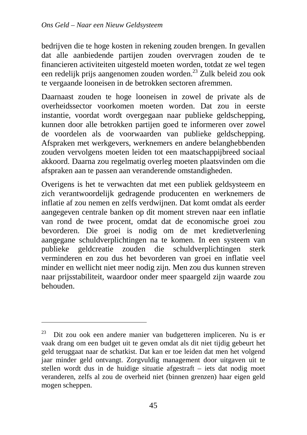bedrijven die te hoge kosten in rekening zouden brengen. In gevallen dat alle aanbiedende partijen zouden overvragen zouden de te financieren activiteiten uitgesteld moeten worden, totdat ze wel tegen een redelijk prijs aangenomen zouden worden.<sup>23</sup> Zulk beleid zou ook te vergaande looneisen in de betrokken sectoren afremmen.

Daarnaast zouden te hoge looneisen in zowel de private als de overheidssector voorkomen moeten worden. Dat zou in eerste instantie, voordat wordt overgegaan naar publieke geldschepping, kunnen door alle betrokken partijen goed te informeren over zowel de voordelen als de voorwaarden van publieke geldschepping. Afspraken met werkgevers, werknemers en andere belanghebbenden zouden vervolgens moeten leiden tot een maatschappijbreed sociaal akkoord. Daarna zou regelmatig overleg moeten plaatsvinden om die afspraken aan te passen aan veranderende omstandigheden.

Overigens is het te verwachten dat met een publiek geldsysteem en zich verantwoordelijk gedragende producenten en werknemers de inflatie af zou nemen en zelfs verdwijnen. Dat komt omdat als eerder aangegeven centrale banken op dit moment streven naar een inflatie van rond de twee procent, omdat dat de economische groei zou bevorderen. Die groei is nodig om de met kredietverlening aangegane schuldverplichtingen na te komen. In een systeem van publieke geldcreatie zouden die schuldverplichtingen sterk verminderen en zou dus het bevorderen van groei en inflatie veel minder en wellicht niet meer nodig zijn. Men zou dus kunnen streven naar prijsstabiliteit, waardoor onder meer spaargeld zijn waarde zou behouden.

 $\overline{a}$ 

 $23$  Dit zou ook een andere manier van budgetteren impliceren. Nu is er vaak drang om een budget uit te geven omdat als dit niet tijdig gebeurt het geld teruggaat naar de schatkist. Dat kan er toe leiden dat men het volgend jaar minder geld ontvangt. Zorgvuldig management door uitgaven uit te stellen wordt dus in de huidige situatie afgestraft – iets dat nodig moet veranderen, zelfs al zou de overheid niet (binnen grenzen) haar eigen geld mogen scheppen.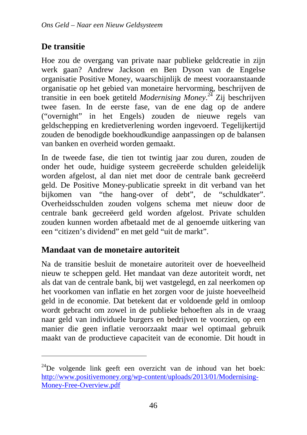## **De transitie**

 $\overline{a}$ 

Hoe zou de overgang van private naar publieke geldcreatie in zijn werk gaan? Andrew Jackson en Ben Dyson van de Engelse organisatie Positive Money, waarschijnlijk de meest vooraanstaande organisatie op het gebied van monetaire hervorming, beschrijven de transitie in een boek getiteld *Modernising Money*. <sup>24</sup> Zij beschrijven twee fasen. In de eerste fase, van de ene dag op de andere ("overnight" in het Engels) zouden de nieuwe regels van geldschepping en kredietverlening worden ingevoerd. Tegelijkertijd zouden de benodigde boekhoudkundige aanpassingen op de balansen van banken en overheid worden gemaakt.

In de tweede fase, die tien tot twintig jaar zou duren, zouden de onder het oude, huidige systeem gecreëerde schulden geleidelijk worden afgelost, al dan niet met door de centrale bank gecreëerd geld. De Positive Money-publicatie spreekt in dit verband van het bijkomen van "the hang-over of debt", de "schuldkater". Overheidsschulden zouden volgens schema met nieuw door de centrale bank gecreëerd geld worden afgelost. Private schulden zouden kunnen worden afbetaald met de al genoemde uitkering van een "citizen's dividend" en met geld "uit de markt".

## **Mandaat van de monetaire autoriteit**

Na de transitie besluit de monetaire autoriteit over de hoeveelheid nieuw te scheppen geld. Het mandaat van deze autoriteit wordt, net als dat van de centrale bank, bij wet vastgelegd, en zal neerkomen op het voorkomen van inflatie en het zorgen voor de juiste hoeveelheid geld in de economie. Dat betekent dat er voldoende geld in omloop wordt gebracht om zowel in de publieke behoeften als in de vraag naar geld van individuele burgers en bedrijven te voorzien, op een manier die geen inflatie veroorzaakt maar wel optimaal gebruik maakt van de productieve capaciteit van de economie. Dit houdt in

 $^{24}$ De volgende link geeft een overzicht van de inhoud van het boek: http://www.positivemoney.org/wp-content/uploads/2013/01/Modernising-Money-Free-Overview.pdf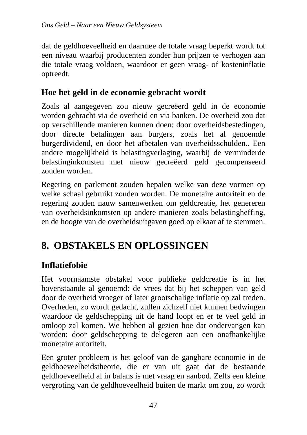dat de geldhoeveelheid en daarmee de totale vraag beperkt wordt tot een niveau waarbij producenten zonder hun prijzen te verhogen aan die totale vraag voldoen, waardoor er geen vraag- of kosteninflatie optreedt.

## **Hoe het geld in de economie gebracht wordt**

Zoals al aangegeven zou nieuw gecreëerd geld in de economie worden gebracht via de overheid en via banken. De overheid zou dat op verschillende manieren kunnen doen: door overheidsbestedingen, door directe betalingen aan burgers, zoals het al genoemde burgerdividend, en door het afbetalen van overheidsschulden.. Een andere mogelijkheid is belastingverlaging, waarbij de verminderde belastinginkomsten met nieuw gecreëerd geld gecompenseerd zouden worden.

Regering en parlement zouden bepalen welke van deze vormen op welke schaal gebruikt zouden worden. De monetaire autoriteit en de regering zouden nauw samenwerken om geldcreatie, het genereren van overheidsinkomsten op andere manieren zoals belastingheffing, en de hoogte van de overheidsuitgaven goed op elkaar af te stemmen.

# **8. OBSTAKELS EN OPLOSSINGEN**

## **Inflatiefobie**

Het voornaamste obstakel voor publieke geldcreatie is in het bovenstaande al genoemd: de vrees dat bij het scheppen van geld door de overheid vroeger of later grootschalige inflatie op zal treden. Overheden, zo wordt gedacht, zullen zichzelf niet kunnen bedwingen waardoor de geldschepping uit de hand loopt en er te veel geld in omloop zal komen. We hebben al gezien hoe dat ondervangen kan worden: door geldschepping te delegeren aan een onafhankelijke monetaire autoriteit.

Een groter probleem is het geloof van de gangbare economie in de geldhoeveelheidstheorie, die er van uit gaat dat de bestaande geldhoeveelheid al in balans is met vraag en aanbod. Zelfs een kleine vergroting van de geldhoeveelheid buiten de markt om zou, zo wordt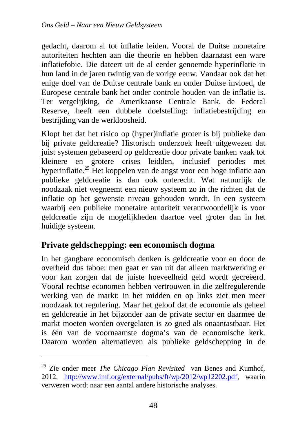gedacht, daarom al tot inflatie leiden. Vooral de Duitse monetaire autoriteiten hechten aan die theorie en hebben daarnaast een ware inflatiefobie. Die dateert uit de al eerder genoemde hyperinflatie in hun land in de jaren twintig van de vorige eeuw. Vandaar ook dat het enige doel van de Duitse centrale bank en onder Duitse invloed, de Europese centrale bank het onder controle houden van de inflatie is. Ter vergelijking, de Amerikaanse Centrale Bank, de Federal Reserve, heeft een dubbele doelstelling: inflatiebestrijding en bestrijding van de werkloosheid.

Klopt het dat het risico op (hyper)inflatie groter is bij publieke dan bij private geldcreatie? Historisch onderzoek heeft uitgewezen dat juist systemen gebaseerd op geldcreatie door private banken vaak tot kleinere en grotere crises leidden, inclusief periodes met hyperinflatie.<sup>25</sup> Het koppelen van de angst voor een hoge inflatie aan publieke geldcreatie is dan ook onterecht. Wat natuurlijk de noodzaak niet wegneemt een nieuw systeem zo in the richten dat de inflatie op het gewenste niveau gehouden wordt. In een systeem waarbij een publieke monetaire autoriteit verantwoordelijk is voor geldcreatie zijn de mogelijkheden daartoe veel groter dan in het huidige systeem.

## **Private geldschepping: een economisch dogma**

 $\overline{a}$ 

In het gangbare economisch denken is geldcreatie voor en door de overheid dus taboe: men gaat er van uit dat alleen marktwerking er voor kan zorgen dat de juiste hoeveelheid geld wordt gecreëerd. Vooral rechtse economen hebben vertrouwen in die zelfregulerende werking van de markt; in het midden en op links ziet men meer noodzaak tot regulering. Maar het geloof dat de economie als geheel en geldcreatie in het bijzonder aan de private sector en daarmee de markt moeten worden overgelaten is zo goed als onaantastbaar. Het is één van de voornaamste dogma's van de economische kerk. Daarom worden alternatieven als publieke geldschepping in de

<sup>25</sup> Zie onder meer *The Chicago Plan Revisited* van Benes and Kumhof, 2012, http://www.imf.org/external/pubs/ft/wp/2012/wp12202.pdf, waarin verwezen wordt naar een aantal andere historische analyses.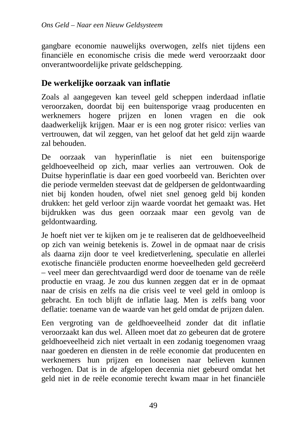gangbare economie nauwelijks overwogen, zelfs niet tijdens een financiële en economische crisis die mede werd veroorzaakt door onverantwoordelijke private geldschepping.

## **De werkelijke oorzaak van inflatie**

Zoals al aangegeven kan teveel geld scheppen inderdaad inflatie veroorzaken, doordat bij een buitensporige vraag producenten en werknemers hogere prijzen en lonen vragen en die ook daadwerkelijk krijgen. Maar er is een nog groter risico: verlies van vertrouwen, dat wil zeggen, van het geloof dat het geld zijn waarde zal behouden.

De oorzaak van hyperinflatie is niet een buitensporige geldhoeveelheid op zich, maar verlies aan vertrouwen. Ook de Duitse hyperinflatie is daar een goed voorbeeld van. Berichten over die periode vermelden steevast dat de geldpersen de geldontwaarding niet bij konden houden, ofwel niet snel genoeg geld bij konden drukken: het geld verloor zijn waarde voordat het gemaakt was. Het bijdrukken was dus geen oorzaak maar een gevolg van de geldontwaarding.

Je hoeft niet ver te kijken om je te realiseren dat de geldhoeveelheid op zich van weinig betekenis is. Zowel in de opmaat naar de crisis als daarna zijn door te veel kredietverlening, speculatie en allerlei exotische financiële producten enorme hoeveelheden geld gecreëerd – veel meer dan gerechtvaardigd werd door de toename van de reële productie en vraag. Je zou dus kunnen zeggen dat er in de opmaat naar de crisis en zelfs na die crisis veel te veel geld in omloop is gebracht. En toch blijft de inflatie laag. Men is zelfs bang voor deflatie: toename van de waarde van het geld omdat de prijzen dalen.

Een vergroting van de geldhoeveelheid zonder dat dit inflatie veroorzaakt kan dus wel. Alleen moet dat zo gebeuren dat de grotere geldhoeveelheid zich niet vertaalt in een zodanig toegenomen vraag naar goederen en diensten in de reële economie dat producenten en werknemers hun prijzen en looneisen naar believen kunnen verhogen. Dat is in de afgelopen decennia niet gebeurd omdat het geld niet in de reële economie terecht kwam maar in het financiële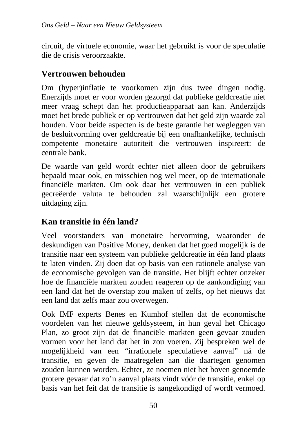circuit, de virtuele economie, waar het gebruikt is voor de speculatie die de crisis veroorzaakte.

#### **Vertrouwen behouden**

Om (hyper)inflatie te voorkomen zijn dus twee dingen nodig. Enerzijds moet er voor worden gezorgd dat publieke geldcreatie niet meer vraag schept dan het productieapparaat aan kan. Anderzijds moet het brede publiek er op vertrouwen dat het geld zijn waarde zal houden. Voor beide aspecten is de beste garantie het wegleggen van de besluitvorming over geldcreatie bij een onafhankelijke, technisch competente monetaire autoriteit die vertrouwen inspireert: de centrale bank.

De waarde van geld wordt echter niet alleen door de gebruikers bepaald maar ook, en misschien nog wel meer, op de internationale financiële markten. Om ook daar het vertrouwen in een publiek gecreëerde valuta te behouden zal waarschijnlijk een grotere uitdaging zijn.

## **Kan transitie in één land?**

Veel voorstanders van monetaire hervorming, waaronder de deskundigen van Positive Money, denken dat het goed mogelijk is de transitie naar een systeem van publieke geldcreatie in één land plaats te laten vinden. Zij doen dat op basis van een rationele analyse van de economische gevolgen van de transitie. Het blijft echter onzeker hoe de financiële markten zouden reageren op de aankondiging van een land dat het de overstap zou maken of zelfs, op het nieuws dat een land dat zelfs maar zou overwegen.

Ook IMF experts Benes en Kumhof stellen dat de economische voordelen van het nieuwe geldsysteem, in hun geval het Chicago Plan, zo groot zijn dat de financiële markten geen gevaar zouden vormen voor het land dat het in zou voeren. Zij bespreken wel de mogelijkheid van een "irrationele speculatieve aanval" ná de transitie, en geven de maatregelen aan die daartegen genomen zouden kunnen worden. Echter, ze noemen niet het boven genoemde grotere gevaar dat zo'n aanval plaats vindt vóór de transitie, enkel op basis van het feit dat de transitie is aangekondigd of wordt vermoed.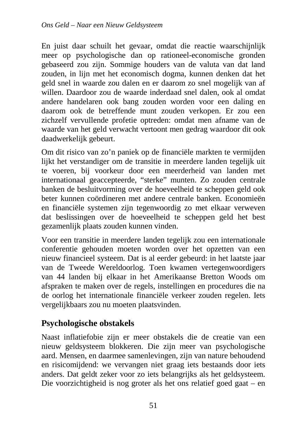En juist daar schuilt het gevaar, omdat die reactie waarschijnlijk meer op psychologische dan op rationeel-economische gronden gebaseerd zou zijn. Sommige houders van de valuta van dat land zouden, in lijn met het economisch dogma, kunnen denken dat het geld snel in waarde zou dalen en er daarom zo snel mogelijk van af willen. Daardoor zou de waarde inderdaad snel dalen, ook al omdat andere handelaren ook bang zouden worden voor een daling en daarom ook de betreffende munt zouden verkopen. Er zou een zichzelf vervullende profetie optreden: omdat men afname van de waarde van het geld verwacht vertoont men gedrag waardoor dit ook daadwerkelijk gebeurt.

Om dit risico van zo'n paniek op de financiële markten te vermijden lijkt het verstandiger om de transitie in meerdere landen tegelijk uit te voeren, bij voorkeur door een meerderheid van landen met internationaal geaccepteerde, "sterke" munten. Zo zouden centrale banken de besluitvorming over de hoeveelheid te scheppen geld ook beter kunnen coördineren met andere centrale banken. Economieën en financiële systemen zijn tegenwoordig zo met elkaar verweven dat beslissingen over de hoeveelheid te scheppen geld het best gezamenlijk plaats zouden kunnen vinden.

Voor een transitie in meerdere landen tegelijk zou een internationale conferentie gehouden moeten worden over het opzetten van een nieuw financieel systeem. Dat is al eerder gebeurd: in het laatste jaar van de Tweede Wereldoorlog. Toen kwamen vertegenwoordigers van 44 landen bij elkaar in het Amerikaanse Bretton Woods om afspraken te maken over de regels, instellingen en procedures die na de oorlog het internationale financiële verkeer zouden regelen. Iets vergelijkbaars zou nu moeten plaatsvinden.

## **Psychologische obstakels**

Naast inflatiefobie zijn er meer obstakels die de creatie van een nieuw geldsysteem blokkeren. Die zijn meer van psychologische aard. Mensen, en daarmee samenlevingen, zijn van nature behoudend en risicomijdend: we vervangen niet graag iets bestaands door iets anders. Dat geldt zeker voor zo iets belangrijks als het geldsysteem. Die voorzichtigheid is nog groter als het ons relatief goed gaat – en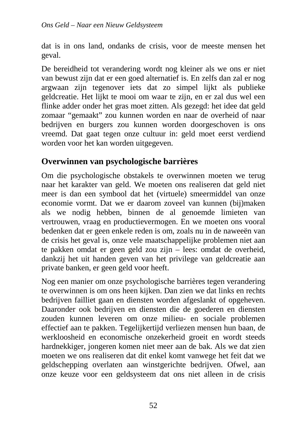dat is in ons land, ondanks de crisis, voor de meeste mensen het geval.

De bereidheid tot verandering wordt nog kleiner als we ons er niet van bewust zijn dat er een goed alternatief is. En zelfs dan zal er nog argwaan zijn tegenover iets dat zo simpel lijkt als publieke geldcreatie. Het lijkt te mooi om waar te zijn, en er zal dus wel een flinke adder onder het gras moet zitten. Als gezegd: het idee dat geld zomaar "gemaakt" zou kunnen worden en naar de overheid of naar bedrijven en burgers zou kunnen worden doorgeschoven is ons vreemd. Dat gaat tegen onze cultuur in: geld moet eerst verdiend worden voor het kan worden uitgegeven.

#### **Overwinnen van psychologische barrières**

Om die psychologische obstakels te overwinnen moeten we terug naar het karakter van geld. We moeten ons realiseren dat geld niet meer is dan een symbool dat het (virtuele) smeermiddel van onze economie vormt. Dat we er daarom zoveel van kunnen (bij)maken als we nodig hebben, binnen de al genoemde limieten van vertrouwen, vraag en productievermogen. En we moeten ons vooral bedenken dat er geen enkele reden is om, zoals nu in de naweeën van de crisis het geval is, onze vele maatschappelijke problemen niet aan te pakken omdat er geen geld zou zijn – lees: omdat de overheid, dankzij het uit handen geven van het privilege van geldcreatie aan private banken, er geen geld voor heeft.

Nog een manier om onze psychologische barrières tegen verandering te overwinnen is om ons heen kijken. Dan zien we dat links en rechts bedrijven failliet gaan en diensten worden afgeslankt of opgeheven. Daaronder ook bedrijven en diensten die de goederen en diensten zouden kunnen leveren om onze milieu- en sociale problemen effectief aan te pakken. Tegelijkertijd verliezen mensen hun baan, de werkloosheid en economische onzekerheid groeit en wordt steeds hardnekkiger, jongeren komen niet meer aan de bak. Als we dat zien moeten we ons realiseren dat dit enkel komt vanwege het feit dat we geldschepping overlaten aan winstgerichte bedrijven. Ofwel, aan onze keuze voor een geldsysteem dat ons niet alleen in de crisis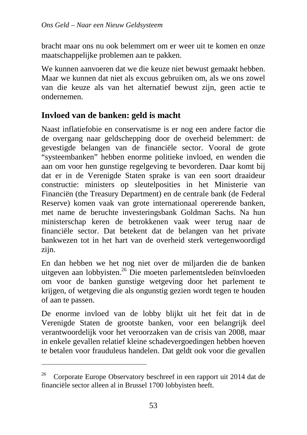bracht maar ons nu ook belemmert om er weer uit te komen en onze maatschappelijke problemen aan te pakken.

We kunnen aanvoeren dat we die keuze niet bewust gemaakt hebben. Maar we kunnen dat niet als excuus gebruiken om, als we ons zowel van die keuze als van het alternatief bewust zijn, geen actie te ondernemen.

## **Invloed van de banken: geld is macht**

Naast inflatiefobie en conservatisme is er nog een andere factor die de overgang naar geldschepping door de overheid belemmert: de gevestigde belangen van de financiële sector. Vooral de grote "systeembanken" hebben enorme politieke invloed, en wenden die aan om voor hen gunstige regelgeving te bevorderen. Daar komt bij dat er in de Verenigde Staten sprake is van een soort draaideur constructie: ministers op sleutelposities in het Ministerie van Financiën (the Treasury Department) en de centrale bank (de Federal Reserve) komen vaak van grote internationaal opererende banken, met name de beruchte investeringsbank Goldman Sachs. Na hun ministerschap keren de betrokkenen vaak weer terug naar de financiële sector. Dat betekent dat de belangen van het private bankwezen tot in het hart van de overheid sterk vertegenwoordigd zijn.

En dan hebben we het nog niet over de miljarden die de banken uitgeven aan lobbyisten.<sup>26</sup> Die moeten parlementsleden beïnvloeden om voor de banken gunstige wetgeving door het parlement te krijgen, of wetgeving die als ongunstig gezien wordt tegen te houden of aan te passen.

De enorme invloed van de lobby blijkt uit het feit dat in de Verenigde Staten de grootste banken, voor een belangrijk deel verantwoordelijk voor het veroorzaken van de crisis van 2008, maar in enkele gevallen relatief kleine schadevergoedingen hebben hoeven te betalen voor frauduleus handelen. Dat geldt ook voor die gevallen

 $\overline{a}$ 

<sup>&</sup>lt;sup>26</sup> Corporate Europe Observatory beschreef in een rapport uit 2014 dat de financiële sector alleen al in Brussel 1700 lobbyisten heeft.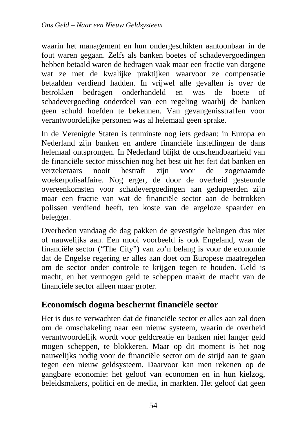waarin het management en hun ondergeschikten aantoonbaar in de fout waren gegaan. Zelfs als banken boetes of schadevergoedingen hebben betaald waren de bedragen vaak maar een fractie van datgene wat ze met de kwalijke praktijken waarvoor ze compensatie betaalden verdiend hadden. In vrijwel alle gevallen is over de betrokken bedragen onderhandeld en was de boete of schadevergoeding onderdeel van een regeling waarbij de banken geen schuld hoefden te bekennen. Van gevangenisstraffen voor verantwoordelijke personen was al helemaal geen sprake.

In de Verenigde Staten is tenminste nog iets gedaan: in Europa en Nederland zijn banken en andere financiële instellingen de dans helemaal ontsprongen. In Nederland blijkt de onschendbaarheid van de financiële sector misschien nog het best uit het feit dat banken en verzekeraars nooit bestraft zijn voor de zogenaamde woekerpolisaffaire. Nog erger, de door de overheid gesteunde overeenkomsten voor schadevergoedingen aan gedupeerden zijn maar een fractie van wat de financiële sector aan de betrokken polissen verdiend heeft, ten koste van de argeloze spaarder en belegger.

Overheden vandaag de dag pakken de gevestigde belangen dus niet of nauwelijks aan. Een mooi voorbeeld is ook Engeland, waar de financiële sector ("The City") van zo'n belang is voor de economie dat de Engelse regering er alles aan doet om Europese maatregelen om de sector onder controle te krijgen tegen te houden. Geld is macht, en het vermogen geld te scheppen maakt de macht van de financiële sector alleen maar groter.

#### **Economisch dogma beschermt financiële sector**

Het is dus te verwachten dat de financiële sector er alles aan zal doen om de omschakeling naar een nieuw systeem, waarin de overheid verantwoordelijk wordt voor geldcreatie en banken niet langer geld mogen scheppen, te blokkeren. Maar op dit moment is het nog nauwelijks nodig voor de financiële sector om de strijd aan te gaan tegen een nieuw geldsysteem. Daarvoor kan men rekenen op de gangbare economie: het geloof van economen en in hun kielzog, beleidsmakers, politici en de media, in markten. Het geloof dat geen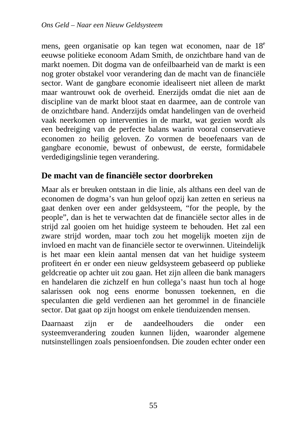mens, geen organisatie op kan tegen wat economen, naar de 18<sup>e</sup> eeuwse politieke econoom Adam Smith, de onzichtbare hand van de markt noemen. Dit dogma van de onfeilbaarheid van de markt is een nog groter obstakel voor verandering dan de macht van de financiële sector. Want de gangbare economie idealiseert niet alleen de markt maar wantrouwt ook de overheid. Enerzijds omdat die niet aan de discipline van de markt bloot staat en daarmee, aan de controle van de onzichtbare hand. Anderzijds omdat handelingen van de overheid vaak neerkomen op interventies in de markt, wat gezien wordt als een bedreiging van de perfecte balans waarin vooral conservatieve economen zo heilig geloven. Zo vormen de beoefenaars van de gangbare economie, bewust of onbewust, de eerste, formidabele verdedigingslinie tegen verandering.

#### **De macht van de financiële sector doorbreken**

Maar als er breuken ontstaan in die linie, als althans een deel van de economen de dogma's van hun geloof opzij kan zetten en serieus na gaat denken over een ander geldsysteem, "for the people, by the people", dan is het te verwachten dat de financiële sector alles in de strijd zal gooien om het huidige systeem te behouden. Het zal een zware strijd worden, maar toch zou het mogelijk moeten zijn de invloed en macht van de financiële sector te overwinnen. Uiteindelijk is het maar een klein aantal mensen dat van het huidige systeem profiteert én er onder een nieuw geldsysteem gebaseerd op publieke geldcreatie op achter uit zou gaan. Het zijn alleen die bank managers en handelaren die zichzelf en hun collega's naast hun toch al hoge salarissen ook nog eens enorme bonussen toekennen, en die speculanten die geld verdienen aan het gerommel in de financiële sector. Dat gaat op zijn hoogst om enkele tienduizenden mensen.

Daarnaast zijn er de aandeelhouders die onder een systeemverandering zouden kunnen lijden, waaronder algemene nutsinstellingen zoals pensioenfondsen. Die zouden echter onder een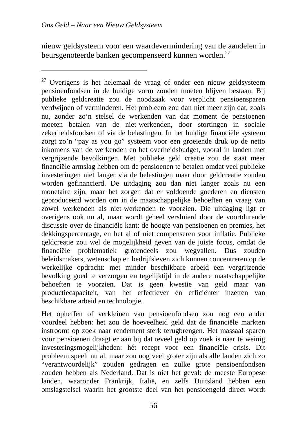$\overline{a}$ 

nieuw geldsysteem voor een waardevermindering van de aandelen in beursgenoteerde banken gecompenseerd kunnen worden.<sup>27</sup>

 $27$  Overigens is het helemaal de vraag of onder een nieuw geldsysteem pensioenfondsen in de huidige vorm zouden moeten blijven bestaan. Bij publieke geldcreatie zou de noodzaak voor verplicht pensioensparen verdwijnen of verminderen. Het probleem zou dan niet meer zijn dat, zoals nu, zonder zo'n stelsel de werkenden van dat moment de pensioenen moeten betalen van de niet-werkenden, door stortingen in sociale zekerheidsfondsen of via de belastingen. In het huidige financiële systeem zorgt zo'n "pay as you go" systeem voor een groeiende druk op de netto inkomens van de werkenden en het overheidsbudget, vooral in landen met vergrijzende bevolkingen. Met publieke geld creatie zou de staat meer financiële armslag hebben om de pensioenen te betalen omdat veel publieke investeringen niet langer via de belastingen maar door geldcreatie zouden worden gefinancierd. De uitdaging zou dan niet langer zoals nu een monetaire zijn, maar het zorgen dat er voldoende goederen en diensten geproduceerd worden om in de maatschappelijke behoeften en vraag van zowel werkenden als niet-werkenden te voorzien. Die uitdaging ligt er overigens ook nu al, maar wordt geheel versluierd door de voortdurende discussie over de financiële kant: de hoogte van pensioenen en premies, het dekkingspercentage, en het al of niet compenseren voor inflatie. Publieke geldcreatie zou wel de mogelijkheid geven van de juiste focus, omdat de financiële problematiek grotendeels zou wegvallen. Dus zouden beleidsmakers, wetenschap en bedrijfsleven zich kunnen concentreren op de werkelijke opdracht: met minder beschikbare arbeid een vergrijzende bevolking goed te verzorgen en tegelijktijd in de andere maatschappelijke behoeften te voorzien. Dat is geen kwestie van geld maar van productiecapaciteit, van het effectiever en efficiënter inzetten van beschikbare arbeid en technologie.

Het opheffen of verkleinen van pensioenfondsen zou nog een ander voordeel hebben: het zou de hoeveelheid geld dat de financiële markten instroomt op zoek naar rendement sterk terugbrengen. Het massaal sparen voor pensioenen draagt er aan bij dat teveel geld op zoek is naar te weinig investeringsmogelijkheden: hét recept voor een financiële crisis. Dit probleem speelt nu al, maar zou nog veel groter zijn als alle landen zich zo "verantwoordelijk" zouden gedragen en zulke grote pensioenfondsen zouden hebben als Nederland. Dat is niet het geval: de meeste Europese landen, waaronder Frankrijk, Italië, en zelfs Duitsland hebben een omslagstelsel waarin het grootste deel van het pensioengeld direct wordt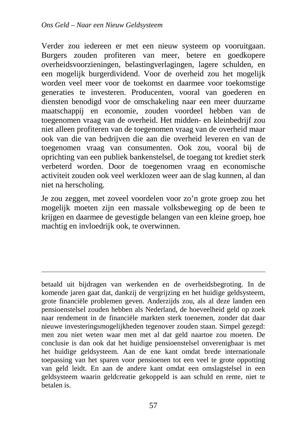$\overline{a}$ 

Verder zou iedereen er met een nieuw systeem op vooruitgaan. Burgers zouden profiteren van meer, betere en goedkopere overheidsvoorzieningen, belastingverlagingen, lagere schulden, en een mogelijk burgerdividend. Voor de overheid zou het mogelijk worden veel meer voor de toekomst en daarmee voor toekomstige generaties te investeren. Producenten, vooral van goederen en diensten benodigd voor de omschakeling naar een meer duurzame maatschappij en economie, zouden voordeel hebben van de toegenomen vraag van de overheid. Het midden- en kleinbedrijf zou niet alleen profiteren van de toegenomen vraag van de overheid maar ook van die van bedrijven die aan die overheid leveren en van de toegenomen vraag van consumenten. Ook zou, vooral bij de oprichting van een publiek bankenstelsel, de toegang tot krediet sterk verbeterd worden. Door de toegenomen vraag en economische activiteit zouden ook veel werklozen weer aan de slag kunnen, al dan niet na herscholing.

Je zou zeggen, met zoveel voordelen voor zo'n grote groep zou het mogelijk moeten zijn een massale volksbeweging op de been te krijgen en daarmee de gevestigde belangen van een kleine groep, hoe machtig en invloedrijk ook, te overwinnen.

betaald uit bijdragen van werkenden en de overheidsbegroting. In de komende jaren gaat dat, dankzij de vergrijzing en het huidige geldsysteem, grote financiële problemen geven. Anderzijds zou, als al deze landen een pensioenstelsel zouden hebben als Nederland, de hoeveelheid geld op zoek naar rendement in de financiële markten sterk toenemen, zonder dat daar nieuwe investeringsmogelijkheden tegenover zouden staan. Simpel gezegd: men zou niet weten waar men met al dat geld naartoe zou moeten. De conclusie is dan ook dat het huidige pensioenstelsel onverenigbaar is met het huidige geldsysteem. Aan de ene kant omdat brede internationale toepassing van het sparen voor pensioenen tot een veel te grote oppotting van geld leidt. En aan de andere kant omdat een omslagstelsel in een geldsysteem waarin geldcreatie gekoppeld is aan schuld en rente, niet te betalen is.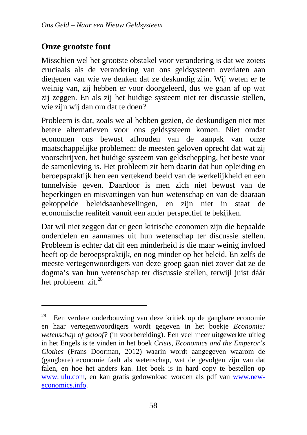## **Onze grootste fout**

 $\overline{a}$ 

Misschien wel het grootste obstakel voor verandering is dat we zoiets cruciaals als de verandering van ons geldsysteem overlaten aan diegenen van wie we denken dat ze deskundig zijn. Wij weten er te weinig van, zij hebben er voor doorgeleerd, dus we gaan af op wat zij zeggen. En als zij het huidige systeem niet ter discussie stellen, wie zijn wij dan om dat te doen?

Probleem is dat, zoals we al hebben gezien, de deskundigen niet met betere alternatieven voor ons geldsysteem komen. Niet omdat economen ons bewust afhouden van de aanpak van onze maatschappelijke problemen: de meesten geloven oprecht dat wat zij voorschrijven, het huidige systeem van geldschepping, het beste voor de samenleving is. Het probleem zit hem daarin dat hun opleiding en beroepspraktijk hen een vertekend beeld van de werkelijkheid en een tunnelvisie geven. Daardoor is men zich niet bewust van de beperkingen en misvattingen van hun wetenschap en van de daaraan gekoppelde beleidsaanbevelingen, en zijn niet in staat de economische realiteit vanuit een ander perspectief te bekijken.

Dat wil niet zeggen dat er geen kritische economen zijn die bepaalde onderdelen en aannames uit hun wetenschap ter discussie stellen. Probleem is echter dat dit een minderheid is die maar weinig invloed heeft op de beroepspraktijk, en nog minder op het beleid. En zelfs de meeste vertegenwoordigers van deze groep gaan niet zover dat ze de dogma's van hun wetenschap ter discussie stellen, terwijl juist dáár het probleem zit.<sup>28</sup>

<sup>28</sup> Een verdere onderbouwing van deze kritiek op de gangbare economie en haar vertegenwoordigers wordt gegeven in het boekje *Economie: wetenschap of geloof?* (in voorbereiding). Een veel meer uitgewerkte uitleg in het Engels is te vinden in het boek *Crisis, Economics and the Emperor's Clothes* (Frans Doorman, 2012) waarin wordt aangegeven waarom de (gangbare) economie faalt als wetenschap, wat de gevolgen zijn van dat falen, en hoe het anders kan. Het boek is in hard copy te bestellen op www.lulu.com, en kan gratis gedownload worden als pdf van www.neweconomics.info.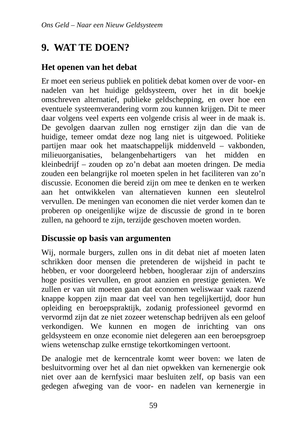# **9. WAT TE DOEN?**

#### **Het openen van het debat**

Er moet een serieus publiek en politiek debat komen over de voor- en nadelen van het huidige geldsysteem, over het in dit boekje omschreven alternatief, publieke geldschepping, en over hoe een eventuele systeemverandering vorm zou kunnen krijgen. Dit te meer daar volgens veel experts een volgende crisis al weer in de maak is. De gevolgen daarvan zullen nog ernstiger zijn dan die van de huidige, temeer omdat deze nog lang niet is uitgewoed. Politieke partijen maar ook het maatschappelijk middenveld – vakbonden, milieuorganisaties, belangenbehartigers van het midden en kleinbedrijf – zouden op zo'n debat aan moeten dringen. De media zouden een belangrijke rol moeten spelen in het faciliteren van zo'n discussie. Economen die bereid zijn om mee te denken en te werken aan het ontwikkelen van alternatieven kunnen een sleutelrol vervullen. De meningen van economen die niet verder komen dan te proberen op oneigenlijke wijze de discussie de grond in te boren zullen, na gehoord te zijn, terzijde geschoven moeten worden.

#### **Discussie op basis van argumenten**

Wij, normale burgers, zullen ons in dit debat niet af moeten laten schrikken door mensen die pretenderen de wijsheid in pacht te hebben, er voor doorgeleerd hebben, hoogleraar zijn of anderszins hoge posities vervullen, en groot aanzien en prestige genieten. We zullen er van uit moeten gaan dat economen weliswaar vaak razend knappe koppen zijn maar dat veel van hen tegelijkertijd, door hun opleiding en beroepspraktijk, zodanig professioneel gevormd en vervormd zijn dat ze niet zozeer wetenschap bedrijven als een geloof verkondigen. We kunnen en mogen de inrichting van ons geldsysteem en onze economie niet delegeren aan een beroepsgroep wiens wetenschap zulke ernstige tekortkomingen vertoont.

De analogie met de kerncentrale komt weer boven: we laten de besluitvorming over het al dan niet opwekken van kernenergie ook niet over aan de kernfysici maar besluiten zelf, op basis van een gedegen afweging van de voor- en nadelen van kernenergie in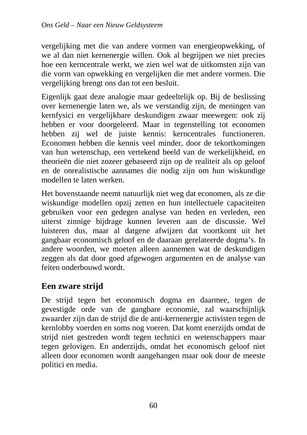vergelijking met die van andere vormen van energieopwekking, of we al dan niet kernenergie willen. Ook al begrijpen we niet precies hoe een kerncentrale werkt, we zien wel wat de uitkomsten zijn van die vorm van opwekking en vergelijken die met andere vormen. Die vergelijking brengt ons dan tot een besluit.

Eigenlijk gaat deze analogie maar gedeeltelijk op. Bij de beslissing over kernenergie laten we, als we verstandig zijn, de meningen van kernfysici en vergelijkbare deskundigen zwaar meewegen: ook zij hebben er voor doorgeleerd. Maar in tegenstelling tot economen hebben zij wel de juiste kennis: kerncentrales functioneren. Economen hebben die kennis veel minder, door de tekortkomingen van hun wetenschap, een vertekend beeld van de werkelijkheid, en theorieën die niet zozeer gebaseerd zijn op de realiteit als op geloof en de onrealistische aannames die nodig zijn om hun wiskundige modellen te laten werken.

Het bovenstaande neemt natuurlijk niet weg dat economen, als ze die wiskundige modellen opzij zetten en hun intellectuele capaciteiten gebruiken voor een gedegen analyse van heden en verleden, een uiterst zinnige bijdrage kunnen leveren aan de discussie. Wel luisteren dus, maar al datgene afwijzen dat voortkomt uit het gangbaar economisch geloof en de daaraan gerelateerde dogma's. In andere woorden, we moeten alleen aannemen wat de deskundigen zeggen als dat door goed afgewogen argumenten en de analyse van feiten onderbouwd wordt.

#### **Een zware strijd**

De strijd tegen het economisch dogma en daarmee, tegen de gevestigde orde van de gangbare economie, zal waarschijnlijk zwaarder zijn dan de strijd die de anti-kernenergie activisten tegen de kernlobby voerden en soms nog voeren. Dat komt enerzijds omdat de strijd niet gestreden wordt tegen technici en wetenschappers maar tegen gelovigen. En anderzijds, omdat het economisch geloof niet alleen door economen wordt aangehangen maar ook door de meeste politici en media.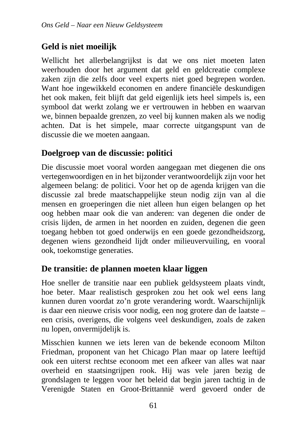## **Geld is niet moeilijk**

Wellicht het allerbelangrijkst is dat we ons niet moeten laten weerhouden door het argument dat geld en geldcreatie complexe zaken zijn die zelfs door veel experts niet goed begrepen worden. Want hoe ingewikkeld economen en andere financiële deskundigen het ook maken, feit blijft dat geld eigenlijk iets heel simpels is, een symbool dat werkt zolang we er vertrouwen in hebben en waarvan we, binnen bepaalde grenzen, zo veel bij kunnen maken als we nodig achten. Dat is het simpele, maar correcte uitgangspunt van de discussie die we moeten aangaan.

## **Doelgroep van de discussie: politici**

Die discussie moet vooral worden aangegaan met diegenen die ons vertegenwoordigen en in het bijzonder verantwoordelijk zijn voor het algemeen belang: de politici. Voor het op de agenda krijgen van die discussie zal brede maatschappelijke steun nodig zijn van al die mensen en groeperingen die niet alleen hun eigen belangen op het oog hebben maar ook die van anderen: van degenen die onder de crisis lijden, de armen in het noorden en zuiden, degenen die geen toegang hebben tot goed onderwijs en een goede gezondheidszorg, degenen wiens gezondheid lijdt onder milieuvervuiling, en vooral ook, toekomstige generaties.

## **De transitie: de plannen moeten klaar liggen**

Hoe sneller de transitie naar een publiek geldsysteem plaats vindt, hoe beter. Maar realistisch gesproken zou het ook wel eens lang kunnen duren voordat zo'n grote verandering wordt. Waarschijnlijk is daar een nieuwe crisis voor nodig, een nog grotere dan de laatste – een crisis, overigens, die volgens veel deskundigen, zoals de zaken nu lopen, onvermijdelijk is.

Misschien kunnen we iets leren van de bekende econoom Milton Friedman, proponent van het Chicago Plan maar op latere leeftijd ook een uiterst rechtse econoom met een afkeer van alles wat naar overheid en staatsingrijpen rook. Hij was vele jaren bezig de grondslagen te leggen voor het beleid dat begin jaren tachtig in de Verenigde Staten en Groot-Brittannië werd gevoerd onder de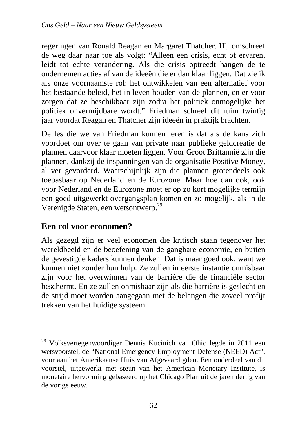regeringen van Ronald Reagan en Margaret Thatcher. Hij omschreef de weg daar naar toe als volgt: "Alleen een crisis, echt of ervaren, leidt tot echte verandering. Als die crisis optreedt hangen de te ondernemen acties af van de ideeën die er dan klaar liggen. Dat zie ik als onze voornaamste rol: het ontwikkelen van een alternatief voor het bestaande beleid, het in leven houden van de plannen, en er voor zorgen dat ze beschikbaar zijn zodra het politiek onmogelijke het politiek onvermijdbare wordt." Friedman schreef dit ruim twintig jaar voordat Reagan en Thatcher zijn ideeën in praktijk brachten.

De les die we van Friedman kunnen leren is dat als de kans zich voordoet om over te gaan van private naar publieke geldcreatie de plannen daarvoor klaar moeten liggen. Voor Groot Brittannië zijn die plannen, dankzij de inspanningen van de organisatie Positive Money, al ver gevorderd. Waarschijnlijk zijn die plannen grotendeels ook toepasbaar op Nederland en de Eurozone. Maar hoe dan ook, ook voor Nederland en de Eurozone moet er op zo kort mogelijke termijn een goed uitgewerkt overgangsplan komen en zo mogelijk, als in de Verenigde Staten, een wetsontwerp.<sup>29</sup>

#### **Een rol voor economen?**

 $\overline{a}$ 

Als gezegd zijn er veel economen die kritisch staan tegenover het wereldbeeld en de beoefening van de gangbare economie, en buiten de gevestigde kaders kunnen denken. Dat is maar goed ook, want we kunnen niet zonder hun hulp. Ze zullen in eerste instantie onmisbaar zijn voor het overwinnen van de barrière die de financiële sector beschermt. En ze zullen onmisbaar zijn als die barrière is geslecht en de strijd moet worden aangegaan met de belangen die zoveel profijt trekken van het huidige systeem.

<sup>&</sup>lt;sup>29</sup> Volksvertegenwoordiger Dennis Kucinich van Ohio legde in 2011 een wetsvoorstel, de "National Emergency Employment Defense (NEED) Act", voor aan het Amerikaanse Huis van Afgevaardigden. Een onderdeel van dit voorstel, uitgewerkt met steun van het American Monetary Institute, is monetaire hervorming gebaseerd op het Chicago Plan uit de jaren dertig van de vorige eeuw.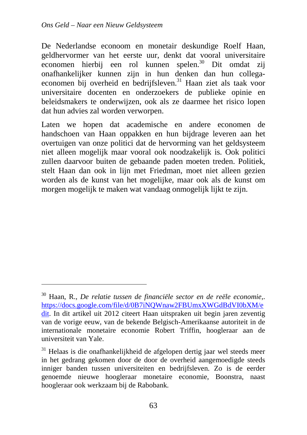$\overline{a}$ 

De Nederlandse econoom en monetair deskundige Roelf Haan, geldhervormer van het eerste uur, denkt dat vooral universitaire economen hierbij een rol kunnen spelen.<sup>30</sup> Dit omdat zij onafhankelijker kunnen zijn in hun denken dan hun collegaeconomen bij overheid en bedrijfsleven.<sup>31</sup> Haan ziet als taak voor universitaire docenten en onderzoekers de publieke opinie en beleidsmakers te onderwijzen, ook als ze daarmee het risico lopen dat hun advies zal worden verworpen.

Laten we hopen dat academische en andere economen de handschoen van Haan oppakken en hun bijdrage leveren aan het overtuigen van onze politici dat de hervorming van het geldsysteem niet alleen mogelijk maar vooral ook noodzakelijk is. Ook politici zullen daarvoor buiten de gebaande paden moeten treden. Politiek, stelt Haan dan ook in lijn met Friedman, moet niet alleen gezien worden als de kunst van het mogelijke, maar ook als de kunst om morgen mogelijk te maken wat vandaag onmogelijk lijkt te zijn.

<sup>30</sup> Haan, R., *De relatie tussen de financiële sector en de reële economie*,. https://docs.google.com/file/d/0B7iNQWnaw2FBUmxXWGdBdVI0bXM/e dit. In dit artikel uit 2012 citeert Haan uitspraken uit begin jaren zeventig van de vorige eeuw, van de bekende Belgisch-Amerikaanse autoriteit in de internationale monetaire economie Robert Triffin, hoogleraar aan de universiteit van Yale.

 $31$  Helaas is die onafhankelijkheid de afgelopen dertig jaar wel steeds meer in het gedrang gekomen door de door de overheid aangemoedigde steeds inniger banden tussen universiteiten en bedrijfsleven. Zo is de eerder genoemde nieuwe hoogleraar monetaire economie, Boonstra, naast hoogleraar ook werkzaam bij de Rabobank.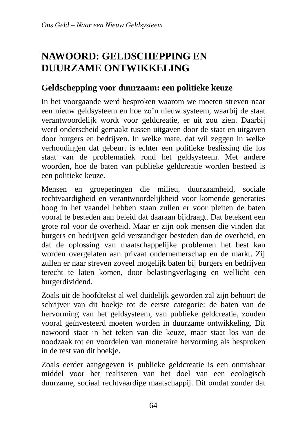# **NAWOORD: GELDSCHEPPING EN DUURZAME ONTWIKKELING**

#### **Geldschepping voor duurzaam: een politieke keuze**

In het voorgaande werd besproken waarom we moeten streven naar een nieuw geldsysteem en hoe zo'n nieuw systeem, waarbij de staat verantwoordelijk wordt voor geldcreatie, er uit zou zien. Daarbij werd onderscheid gemaakt tussen uitgaven door de staat en uitgaven door burgers en bedrijven. In welke mate, dat wil zeggen in welke verhoudingen dat gebeurt is echter een politieke beslissing die los staat van de problematiek rond het geldsysteem. Met andere woorden, hoe de baten van publieke geldcreatie worden besteed is een politieke keuze.

Mensen en groeperingen die milieu, duurzaamheid, sociale rechtvaardigheid en verantwoordelijkheid voor komende generaties hoog in het vaandel hebben staan zullen er voor pleiten de baten vooral te besteden aan beleid dat daaraan bijdraagt. Dat betekent een grote rol voor de overheid. Maar er zijn ook mensen die vinden dat burgers en bedrijven geld verstandiger besteden dan de overheid, en dat de oplossing van maatschappelijke problemen het best kan worden overgelaten aan privaat ondernemerschap en de markt. Zij zullen er naar streven zoveel mogelijk baten bij burgers en bedrijven terecht te laten komen, door belastingverlaging en wellicht een burgerdividend.

Zoals uit de hoofdtekst al wel duidelijk geworden zal zijn behoort de schrijver van dit boekje tot de eerste categorie: de baten van de hervorming van het geldsysteem, van publieke geldcreatie, zouden vooral geïnvesteerd moeten worden in duurzame ontwikkeling. Dit nawoord staat in het teken van die keuze, maar staat los van de noodzaak tot en voordelen van monetaire hervorming als besproken in de rest van dit boekje.

Zoals eerder aangegeven is publieke geldcreatie is een onmisbaar middel voor het realiseren van het doel van een ecologisch duurzame, sociaal rechtvaardige maatschappij. Dit omdat zonder dat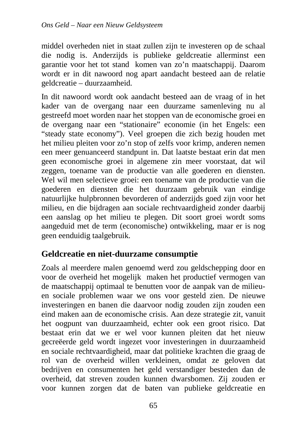middel overheden niet in staat zullen zijn te investeren op de schaal die nodig is. Anderzijds is publieke geldcreatie allerminst een garantie voor het tot stand komen van zo'n maatschappij. Daarom wordt er in dit nawoord nog apart aandacht besteed aan de relatie geldcreatie – duurzaamheid.

In dit nawoord wordt ook aandacht besteed aan de vraag of in het kader van de overgang naar een duurzame samenleving nu al gestreefd moet worden naar het stoppen van de economische groei en de overgang naar een "stationaire" economie (in het Engels: een "steady state economy"). Veel groepen die zich bezig houden met het milieu pleiten voor zo'n stop of zelfs voor krimp, anderen nemen een meer genuanceerd standpunt in. Dat laatste bestaat erin dat men geen economische groei in algemene zin meer voorstaat, dat wil zeggen, toename van de productie van alle goederen en diensten. Wel wil men selectieve groei: een toename van de productie van die goederen en diensten die het duurzaam gebruik van eindige natuurlijke hulpbronnen bevorderen of anderzijds goed zijn voor het milieu, en die bijdragen aan sociale rechtvaardigheid zonder daarbij een aanslag op het milieu te plegen. Dit soort groei wordt soms aangeduid met de term (economische) ontwikkeling, maar er is nog geen eenduidig taalgebruik.

#### **Geldcreatie en niet-duurzame consumptie**

Zoals al meerdere malen genoemd werd zou geldschepping door en voor de overheid het mogelijk maken het productief vermogen van de maatschappij optimaal te benutten voor de aanpak van de milieuen sociale problemen waar we ons voor gesteld zien. De nieuwe investeringen en banen die daarvoor nodig zouden zijn zouden een eind maken aan de economische crisis. Aan deze strategie zit, vanuit het oogpunt van duurzaamheid, echter ook een groot risico. Dat bestaat erin dat we er wel voor kunnen pleiten dat het nieuw gecreëerde geld wordt ingezet voor investeringen in duurzaamheid en sociale rechtvaardigheid, maar dat politieke krachten die graag de rol van de overheid willen verkleinen, omdat ze geloven dat bedrijven en consumenten het geld verstandiger besteden dan de overheid, dat streven zouden kunnen dwarsbomen. Zij zouden er voor kunnen zorgen dat de baten van publieke geldcreatie en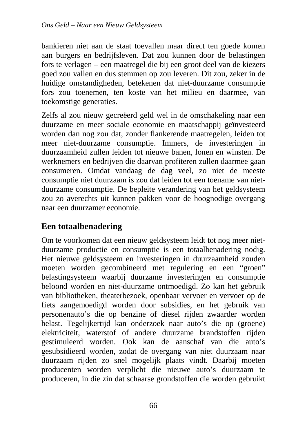bankieren niet aan de staat toevallen maar direct ten goede komen aan burgers en bedrijfsleven. Dat zou kunnen door de belastingen fors te verlagen – een maatregel die bij een groot deel van de kiezers goed zou vallen en dus stemmen op zou leveren. Dit zou, zeker in de huidige omstandigheden, betekenen dat niet-duurzame consumptie fors zou toenemen, ten koste van het milieu en daarmee, van toekomstige generaties.

Zelfs al zou nieuw gecreëerd geld wel in de omschakeling naar een duurzame en meer sociale economie en maatschappij geïnvesteerd worden dan nog zou dat, zonder flankerende maatregelen, leiden tot meer niet-duurzame consumptie. Immers, de investeringen in duurzaamheid zullen leiden tot nieuwe banen, lonen en winsten. De werknemers en bedrijven die daarvan profiteren zullen daarmee gaan consumeren. Omdat vandaag de dag veel, zo niet de meeste consumptie niet duurzaam is zou dat leiden tot een toename van nietduurzame consumptie. De bepleite verandering van het geldsysteem zou zo averechts uit kunnen pakken voor de hoognodige overgang naar een duurzamer economie.

## **Een totaalbenadering**

Om te voorkomen dat een nieuw geldsysteem leidt tot nog meer nietduurzame productie en consumptie is een totaalbenadering nodig. Het nieuwe geldsysteem en investeringen in duurzaamheid zouden moeten worden gecombineerd met regulering en een "groen" belastingsysteem waarbij duurzame investeringen en consumptie beloond worden en niet-duurzame ontmoedigd. Zo kan het gebruik van bibliotheken, theaterbezoek, openbaar vervoer en vervoer op de fiets aangemoedigd worden door subsidies, en het gebruik van personenauto's die op benzine of diesel rijden zwaarder worden belast. Tegelijkertijd kan onderzoek naar auto's die op (groene) elektriciteit, waterstof of andere duurzame brandstoffen rijden gestimuleerd worden. Ook kan de aanschaf van die auto's gesubsidieerd worden, zodat de overgang van niet duurzaam naar duurzaam rijden zo snel mogelijk plaats vindt. Daarbij moeten producenten worden verplicht die nieuwe auto's duurzaam te produceren, in die zin dat schaarse grondstoffen die worden gebruikt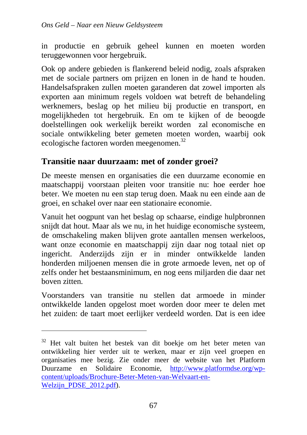in productie en gebruik geheel kunnen en moeten worden teruggewonnen voor hergebruik.

Ook op andere gebieden is flankerend beleid nodig, zoals afspraken met de sociale partners om prijzen en lonen in de hand te houden. Handelsafspraken zullen moeten garanderen dat zowel importen als exporten aan minimum regels voldoen wat betreft de behandeling werknemers, beslag op het milieu bij productie en transport, en mogelijkheden tot hergebruik. En om te kijken of de beoogde doelstellingen ook werkelijk bereikt worden zal economische en sociale ontwikkeling beter gemeten moeten worden, waarbij ook ecologische factoren worden meegenomen.<sup>32</sup>

#### **Transitie naar duurzaam: met of zonder groei?**

De meeste mensen en organisaties die een duurzame economie en maatschappij voorstaan pleiten voor transitie nu: hoe eerder hoe beter. We moeten nu een stap terug doen. Maak nu een einde aan de groei, en schakel over naar een stationaire economie.

Vanuit het oogpunt van het beslag op schaarse, eindige hulpbronnen snijdt dat hout. Maar als we nu, in het huidige economische systeem, de omschakeling maken blijven grote aantallen mensen werkeloos, want onze economie en maatschappij zijn daar nog totaal niet op ingericht. Anderzijds zijn er in minder ontwikkelde landen honderden miljoenen mensen die in grote armoede leven, net op of zelfs onder het bestaansminimum, en nog eens miljarden die daar net boven zitten.

Voorstanders van transitie nu stellen dat armoede in minder ontwikkelde landen opgelost moet worden door meer te delen met het zuiden: de taart moet eerlijker verdeeld worden. Dat is een idee

 $\overline{a}$ 

<sup>&</sup>lt;sup>32</sup> Het valt buiten het bestek van dit boekje om het beter meten van ontwikkeling hier verder uit te werken, maar er zijn veel groepen en organisaties mee bezig. Zie onder meer de website van het Platform Duurzame en Solidaire Economie, http://www.platformdse.org/wpcontent/uploads/Brochure-Beter-Meten-van-Welvaart-en-Welzijn\_PDSE\_2012.pdf).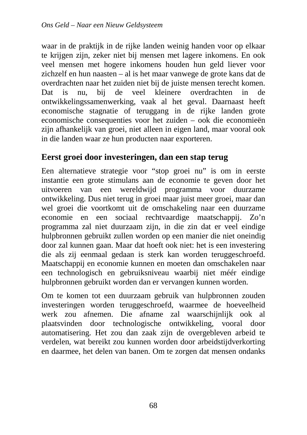waar in de praktijk in de rijke landen weinig handen voor op elkaar te krijgen zijn, zeker niet bij mensen met lagere inkomens. En ook veel mensen met hogere inkomens houden hun geld liever voor zichzelf en hun naasten – al is het maar vanwege de grote kans dat de overdrachten naar het zuiden niet bij de juiste mensen terecht komen. Dat is nu, bij de veel kleinere overdrachten in de ontwikkelingssamenwerking, vaak al het geval. Daarnaast heeft economische stagnatie of teruggang in de rijke landen grote economische consequenties voor het zuiden – ook die economieën zijn afhankelijk van groei, niet alleen in eigen land, maar vooral ook in die landen waar ze hun producten naar exporteren.

## **Eerst groei door investeringen, dan een stap terug**

Een alternatieve strategie voor "stop groei nu" is om in eerste instantie een grote stimulans aan de economie te geven door het uitvoeren van een wereldwijd programma voor duurzame ontwikkeling. Dus niet terug in groei maar juist meer groei, maar dan wel groei die voortkomt uit de omschakeling naar een duurzame economie en een sociaal rechtvaardige maatschappij. Zo'n programma zal niet duurzaam zijn, in die zin dat er veel eindige hulpbronnen gebruikt zullen worden op een manier die niet oneindig door zal kunnen gaan. Maar dat hoeft ook niet: het is een investering die als zij eenmaal gedaan is sterk kan worden teruggeschroefd. Maatschappij en economie kunnen en moeten dan omschakelen naar een technologisch en gebruiksniveau waarbij niet méér eindige hulpbronnen gebruikt worden dan er vervangen kunnen worden.

Om te komen tot een duurzaam gebruik van hulpbronnen zouden investeringen worden teruggeschroefd, waarmee de hoeveelheid werk zou afnemen. Die afname zal waarschijnlijk ook al plaatsvinden door technologische ontwikkeling, vooral door automatisering. Het zou dan zaak zijn de overgebleven arbeid te verdelen, wat bereikt zou kunnen worden door arbeidstijdverkorting en daarmee, het delen van banen. Om te zorgen dat mensen ondanks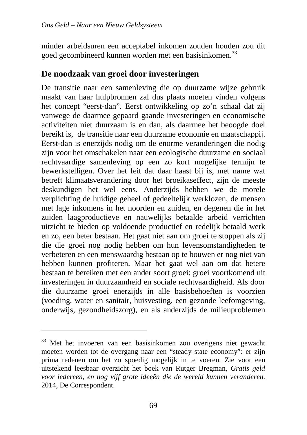minder arbeidsuren een acceptabel inkomen zouden houden zou dit goed gecombineerd kunnen worden met een basisinkomen.<sup>33</sup>

#### **De noodzaak van groei door investeringen**

De transitie naar een samenleving die op duurzame wijze gebruik maakt van haar hulpbronnen zal dus plaats moeten vinden volgens het concept "eerst-dan". Eerst ontwikkeling op zo'n schaal dat zij vanwege de daarmee gepaard gaande investeringen en economische activiteiten niet duurzaam is en dan, als daarmee het beoogde doel bereikt is, de transitie naar een duurzame economie en maatschappij. Eerst-dan is enerzijds nodig om de enorme veranderingen die nodig zijn voor het omschakelen naar een ecologische duurzame en sociaal rechtvaardige samenleving op een zo kort mogelijke termijn te bewerkstelligen. Over het feit dat daar haast bij is, met name wat betreft klimaatsverandering door het broeikaseffect, zijn de meeste deskundigen het wel eens. Anderzijds hebben we de morele verplichting de huidige geheel of gedeeltelijk werklozen, de mensen met lage inkomens in het noorden en zuiden, en degenen die in het zuiden laagproductieve en nauwelijks betaalde arbeid verrichten uitzicht te bieden op voldoende productief en redelijk betaald werk en zo, een beter bestaan. Het gaat niet aan om groei te stoppen als zij die die groei nog nodig hebben om hun levensomstandigheden te verbeteren en een menswaardig bestaan op te bouwen er nog niet van hebben kunnen profiteren. Maar het gaat wel aan om dat betere bestaan te bereiken met een ander soort groei: groei voortkomend uit investeringen in duurzaamheid en sociale rechtvaardigheid. Als door die duurzame groei enerzijds in alle basisbehoeften is voorzien (voeding, water en sanitair, huisvesting, een gezonde leefomgeving, onderwijs, gezondheidszorg), en als anderzijds de milieuproblemen

 $\overline{a}$ 

<sup>&</sup>lt;sup>33</sup> Met het invoeren van een basisinkomen zou overigens niet gewacht moeten worden tot de overgang naar een "steady state economy": er zijn prima redenen om het zo spoedig mogelijk in te voeren. Zie voor een uitstekend leesbaar overzicht het boek van Rutger Bregman, *Gratis geld voor iedereen, en nog vijf grote ideeën die de wereld kunnen veranderen.* 2014, De Correspondent.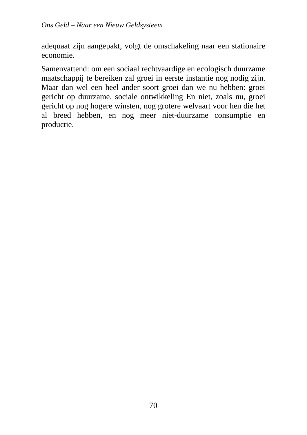adequaat zijn aangepakt, volgt de omschakeling naar een stationaire economie.

Samenvattend: om een sociaal rechtvaardige en ecologisch duurzame maatschappij te bereiken zal groei in eerste instantie nog nodig zijn. Maar dan wel een heel ander soort groei dan we nu hebben: groei gericht op duurzame, sociale ontwikkeling En niet, zoals nu, groei gericht op nog hogere winsten, nog grotere welvaart voor hen die het al breed hebben, en nog meer niet-duurzame consumptie en productie.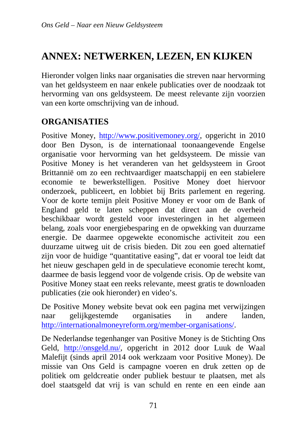# **ANNEX: NETWERKEN, LEZEN, EN KIJKEN**

Hieronder volgen links naar organisaties die streven naar hervorming van het geldsysteem en naar enkele publicaties over de noodzaak tot hervorming van ons geldsysteem. De meest relevante zijn voorzien van een korte omschrijving van de inhoud.

## **ORGANISATIES**

Positive Money, http://www.positivemoney.org/, opgericht in 2010 door Ben Dyson, is de internationaal toonaangevende Engelse organisatie voor hervorming van het geldsysteem. De missie van Positive Money is het veranderen van het geldsysteem in Groot Brittannië om zo een rechtvaardiger maatschappij en een stabielere economie te bewerkstelligen. Positive Money doet hiervoor onderzoek, publiceert, en lobbiet bij Brits parlement en regering. Voor de korte temijn pleit Positive Money er voor om de Bank of England geld te laten scheppen dat direct aan de overheid beschikbaar wordt gesteld voor investeringen in het algemeen belang, zoals voor energiebesparing en de opwekking van duurzame energie. De daarmee opgewekte economische activiteit zou een duurzame uitweg uit de crisis bieden. Dit zou een goed alternatief zijn voor de huidige "quantitative easing", dat er vooral toe leidt dat het nieuw geschapen geld in de speculatieve economie terecht komt, daarmee de basis leggend voor de volgende crisis. Op de website van Positive Money staat een reeks relevante, meest gratis te downloaden publicaties (zie ook hieronder) en video's.

De Positive Money website bevat ook een pagina met verwijzingen naar gelijkgestemde organisaties in andere landen, http://internationalmoneyreform.org/member-organisations/.

De Nederlandse tegenhanger van Positive Money is de Stichting Ons Geld, http://onsgeld.nu/, opgericht in 2012 door Luuk de Waal Malefijt (sinds april 2014 ook werkzaam voor Positive Money). De missie van Ons Geld is campagne voeren en druk zetten op de politiek om geldcreatie onder publiek bestuur te plaatsen, met als doel staatsgeld dat vrij is van schuld en rente en een einde aan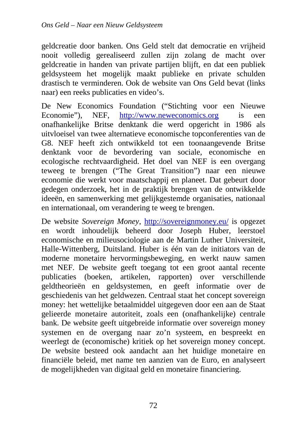geldcreatie door banken. Ons Geld stelt dat democratie en vrijheid nooit volledig gerealiseerd zullen zijn zolang de macht over geldcreatie in handen van private partijen blijft, en dat een publiek geldsysteem het mogelijk maakt publieke en private schulden drastisch te verminderen. Ook de website van Ons Geld bevat (links naar) een reeks publicaties en video's.

De New Economics Foundation ("Stichting voor een Nieuwe Economie"), NEF, http://www.neweconomics.org is een onafhankelijke Britse denktank die werd opgericht in 1986 als uitvloeisel van twee alternatieve economische topconferenties van de G8. NEF heeft zich ontwikkeld tot een toonaangevende Britse denktank voor de bevordering van sociale, economische en ecologische rechtvaardigheid. Het doel van NEF is een overgang teweeg te brengen ("The Great Transition") naar een nieuwe economie die werkt voor maatschappij en planeet. Dat gebeurt door gedegen onderzoek, het in de praktijk brengen van de ontwikkelde ideeën, en samenwerking met gelijkgestemde organisaties, nationaal en internationaal, om verandering te weeg te brengen.

De website *Sovereign Money*, http://sovereignmoney.eu/ is opgezet en wordt inhoudelijk beheerd door Joseph Huber, leerstoel economische en milieusociologie aan de Martin Luther Universiteit, Halle-Wittenberg, Duitsland. Huber is één van de initiators van de moderne monetaire hervormingsbeweging, en werkt nauw samen met NEF. De website geeft toegang tot een groot aantal recente publicaties (boeken, artikelen, rapporten) over verschillende geldtheorieën en geldsystemen, en geeft informatie over de geschiedenis van het geldwezen. Centraal staat het concept sovereign money: het wettelijke betaalmiddel uitgegeven door een aan de Staat gelieerde monetaire autoriteit, zoals een (onafhankelijke) centrale bank. De website geeft uitgebreide informatie over sovereign money systemen en de overgang naar zo'n systeem, en bespreekt en weerlegt de (economische) kritiek op het sovereign money concept. De website besteed ook aandacht aan het huidige monetaire en financiële beleid, met name ten aanzien van de Euro, en analyseert de mogelijkheden van digitaal geld en monetaire financiering.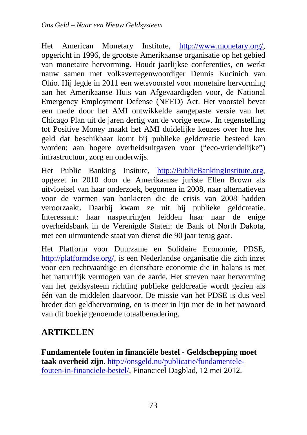Het American Monetary Institute, http://www.monetary.org/, opgericht in 1996, de grootste Amerikaanse organisatie op het gebied van monetaire hervorming. Houdt jaarlijkse conferenties, en werkt nauw samen met volksvertegenwoordiger Dennis Kucinich van Ohio. Hij legde in 2011 een wetsvoorstel voor monetaire hervorming aan het Amerikaanse Huis van Afgevaardigden voor, de National Emergency Employment Defense (NEED) Act. Het voorstel bevat een mede door het AMI ontwikkelde aangepaste versie van het Chicago Plan uit de jaren dertig van de vorige eeuw. In tegenstelling tot Positive Money maakt het AMI duidelijke keuzes over hoe het geld dat beschikbaar komt bij publieke geldcreatie besteed kan worden: aan hogere overheidsuitgaven voor ("eco-vriendelijke") infrastructuur, zorg en onderwijs.

Het Public Banking Insitute, http://PublicBankingInstitute.org, opgezet in 2010 door de Amerikaanse juriste Ellen Brown als uitvloeisel van haar onderzoek, begonnen in 2008, naar alternatieven voor de vormen van bankieren die de crisis van 2008 hadden veroorzaakt. Daarbij kwam ze uit bij publieke geldcreatie. Interessant: haar naspeuringen leidden haar naar de enige overheidsbank in de Verenigde Staten: de Bank of North Dakota, met een uitmuntende staat van dienst die 90 jaar terug gaat.

Het Platform voor Duurzame en Solidaire Economie, PDSE, http://platformdse.org/, is een Nederlandse organisatie die zich inzet voor een rechtvaardige en dienstbare economie die in balans is met het natuurlijk vermogen van de aarde. Het streven naar hervorming van het geldsysteem richting publieke geldcreatie wordt gezien als één van de middelen daarvoor. De missie van het PDSE is dus veel breder dan geldhervorming, en is meer in lijn met de in het nawoord van dit boekje genoemde totaalbenadering.

# **ARTIKELEN**

**Fundamentele fouten in financiële bestel - Geldschepping moet taak overheid zijn.** http://onsgeld.nu/publicatie/fundamentelefouten-in-financiele-bestel/, Financieel Dagblad, 12 mei 2012.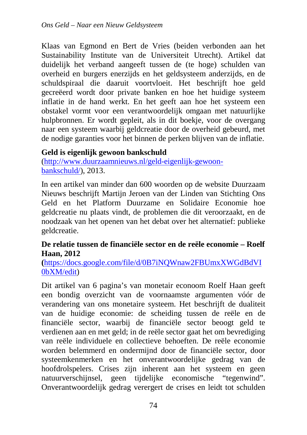Klaas van Egmond en Bert de Vries (beiden verbonden aan het Sustainability Institute van de Universiteit Utrecht). Artikel dat duidelijk het verband aangeeft tussen de (te hoge) schulden van overheid en burgers enerzijds en het geldsysteem anderzijds, en de schuldspiraal die daaruit voortvloeit. Het beschrijft hoe geld gecreëerd wordt door private banken en hoe het huidige systeem inflatie in de hand werkt. En het geeft aan hoe het systeem een obstakel vormt voor een verantwoordelijk omgaan met natuurlijke hulpbronnen. Er wordt gepleit, als in dit boekje, voor de overgang naar een systeem waarbij geldcreatie door de overheid gebeurd, met de nodige garanties voor het binnen de perken blijven van de inflatie.

## **Geld is eigenlijk gewoon bankschuld**

(http://www.duurzaamnieuws.nl/geld-eigenlijk-gewoonbankschuld/), 2013.

In een artikel van minder dan 600 woorden op de website Duurzaam Nieuws beschrijft Martijn Jeroen van der Linden van Stichting Ons Geld en het Platform Duurzame en Solidaire Economie hoe geldcreatie nu plaats vindt, de problemen die dit veroorzaakt, en de noodzaak van het openen van het debat over het alternatief: publieke geldcreatie.

#### **De relatie tussen de financiële sector en de reële economie – Roelf Haan, 2012**

**(**https://docs.google.com/file/d/0B7iNQWnaw2FBUmxXWGdBdVI 0bXM/edit)

Dit artikel van 6 pagina's van monetair econoom Roelf Haan geeft een bondig overzicht van de voornaamste argumenten vóór de verandering van ons monetaire systeem. Het beschrijft de dualiteit van de huidige economie: de scheiding tussen de reële en de financiële sector, waarbij de financiële sector beoogt geld te verdienen aan en met geld; in de reële sector gaat het om bevrediging van reële individuele en collectieve behoeften. De reële economie worden belemmerd en ondermijnd door de financiële sector, door systeemkenmerken en het onverantwoordelijke gedrag van de hoofdrolspelers. Crises zijn inherent aan het systeem en geen natuurverschijnsel, geen tijdelijke economische "tegenwind". Onverantwoordelijk gedrag verergert de crises en leidt tot schulden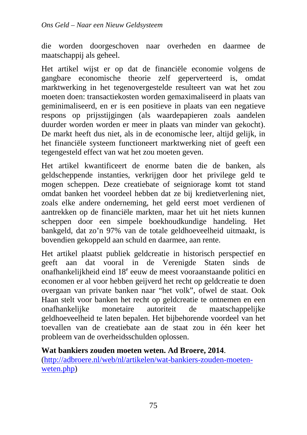die worden doorgeschoven naar overheden en daarmee de maatschappij als geheel.

Het artikel wijst er op dat de financiële economie volgens de gangbare economische theorie zelf geperverteerd is, omdat marktwerking in het tegenovergestelde resulteert van wat het zou moeten doen: transactiekosten worden gemaximaliseerd in plaats van geminimaliseerd, en er is een positieve in plaats van een negatieve respons op prijsstijgingen (als waardepapieren zoals aandelen duurder worden worden er meer in plaats van minder van gekocht). De markt heeft dus niet, als in de economische leer, altijd gelijk, in het financiële systeem functioneert marktwerking niet of geeft een tegengesteld effect van wat het zou moeten geven.

Het artikel kwantificeert de enorme baten die de banken, als geldscheppende instanties, verkrijgen door het privilege geld te mogen scheppen. Deze creatiebate of seigniorage komt tot stand omdat banken het voordeel hebben dat ze bij kredietverlening niet, zoals elke andere onderneming, het geld eerst moet verdienen of aantrekken op de financiële markten, maar het uit het niets kunnen scheppen door een simpele boekhoudkundige handeling. Het bankgeld, dat zo'n 97% van de totale geldhoeveelheid uitmaakt, is bovendien gekoppeld aan schuld en daarmee, aan rente.

Het artikel plaatst publiek geldcreatie in historisch perspectief en geeft aan dat vooral in de Verenigde Staten sinds de onafhankelijkheid eind 18<sup>e</sup> eeuw de meest vooraanstaande politici en economen er al voor hebben geijverd het recht op geldcreatie te doen overgaan van private banken naar "het volk", ofwel de staat. Ook Haan stelt voor banken het recht op geldcreatie te ontnemen en een onafhankelijke monetaire autoriteit de maatschappelijke geldhoeveelheid te laten bepalen. Het bijbehorende voordeel van het toevallen van de creatiebate aan de staat zou in één keer het probleem van de overheidsschulden oplossen.

#### **Wat bankiers zouden moeten weten. Ad Broere, 2014**.

(http://adbroere.nl/web/nl/artikelen/wat-bankiers-zouden-moetenweten.php)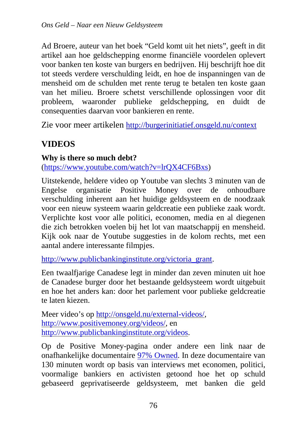Ad Broere, auteur van het boek "Geld komt uit het niets", geeft in dit artikel aan hoe geldschepping enorme financiële voordelen oplevert voor banken ten koste van burgers en bedrijven. Hij beschrijft hoe dit tot steeds verdere verschulding leidt, en hoe de inspanningen van de mensheid om de schulden met rente terug te betalen ten koste gaan van het milieu. Broere schetst verschillende oplossingen voor dit probleem, waaronder publieke geldschepping, en duidt de consequenties daarvan voor bankieren en rente.

Zie voor meer artikelen http://burgerinitiatief.onsgeld.nu/context

# **VIDEOS**

#### **Why is there so much debt?**

(https://www.youtube.com/watch?v=lrQX4CF6Bxs)

Uitstekende, heldere video op Youtube van slechts 3 minuten van de Engelse organisatie Positive Money over de onhoudbare verschulding inherent aan het huidige geldsysteem en de noodzaak voor een nieuw systeem waarin geldcreatie een publieke zaak wordt. Verplichte kost voor alle politici, economen, media en al diegenen die zich betrokken voelen bij het lot van maatschappij en mensheid. Kijk ook naar de Youtube suggesties in de kolom rechts, met een aantal andere interessante filmpjes.

http://www.publicbankinginstitute.org/victoria\_grant.

Een twaalfjarige Canadese legt in minder dan zeven minuten uit hoe de Canadese burger door het bestaande geldsysteem wordt uitgebuit en hoe het anders kan: door het parlement voor publieke geldcreatie te laten kiezen.

Meer video's op http://onsgeld.nu/external-videos/, http://www.positivemoney.org/videos/, en http://www.publicbankinginstitute.org/videos.

Op de Positive Money-pagina onder andere een link naar de onafhankelijke documentaire 97% Owned. In deze documentaire van 130 minuten wordt op basis van interviews met economen, politici, voormalige bankiers en activisten getoond hoe het op schuld gebaseerd geprivatiseerde geldsysteem, met banken die geld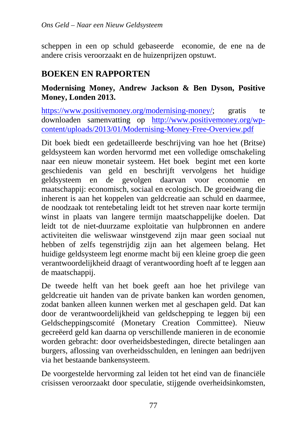scheppen in een op schuld gebaseerde economie, de ene na de andere crisis veroorzaakt en de huizenprijzen opstuwt.

## **BOEKEN EN RAPPORTEN**

## **Modernising Money, Andrew Jackson & Ben Dyson, Positive Money, Londen 2013.**

https://www.positivemoney.org/modernising-money/; gratis te downloaden samenvatting op http://www.positivemoney.org/wpcontent/uploads/2013/01/Modernising-Money-Free-Overview.pdf

Dit boek biedt een gedetailleerde beschrijving van hoe het (Britse) geldsysteem kan worden hervormd met een volledige omschakeling naar een nieuw monetair systeem. Het boek begint met een korte geschiedenis van geld en beschrijft vervolgens het huidige geldsysteem en de gevolgen daarvan voor economie en maatschappij: economisch, sociaal en ecologisch. De groeidwang die inherent is aan het koppelen van geldcreatie aan schuld en daarmee, de noodzaak tot rentebetaling leidt tot het streven naar korte termijn winst in plaats van langere termijn maatschappelijke doelen. Dat leidt tot de niet-duurzame exploitatie van hulpbronnen en andere activiteiten die weliswaar winstgevend zijn maar geen sociaal nut hebben of zelfs tegenstrijdig zijn aan het algemeen belang. Het huidige geldsysteem legt enorme macht bij een kleine groep die geen verantwoordelijkheid draagt of verantwoording hoeft af te leggen aan de maatschappij.

De tweede helft van het boek geeft aan hoe het privilege van geldcreatie uit handen van de private banken kan worden genomen, zodat banken alleen kunnen werken met al geschapen geld. Dat kan door de verantwoordelijkheid van geldschepping te leggen bij een Geldscheppingscomité (Monetary Creation Committee). Nieuw gecreëerd geld kan daarna op verschillende manieren in de economie worden gebracht: door overheidsbestedingen, directe betalingen aan burgers, aflossing van overheidsschulden, en leningen aan bedrijven via het bestaande bankensysteem.

De voorgestelde hervorming zal leiden tot het eind van de financiële crisissen veroorzaakt door speculatie, stijgende overheidsinkomsten,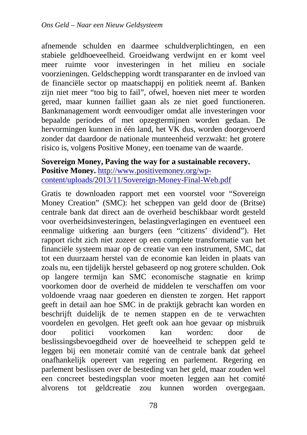afnemende schulden en daarmee schuldverplichtingen, en een stabiele geldhoeveelheid. Groeidwang verdwijnt en er komt veel meer ruimte voor investeringen in het milieu en sociale voorzieningen. Geldschepping wordt transparanter en de invloed van de financiële sector op maatschappij en politiek neemt af. Banken zijn niet meer "too big to fail", ofwel, hoeven niet meer te worden gered, maar kunnen failliet gaan als ze niet goed functioneren. Bankmanagement wordt eenvoudiger omdat alle investeringen voor bepaalde periodes of met opzegtermijnen worden gedaan. De hervormingen kunnen in één land, het VK dus, worden doorgevoerd zonder dat daardoor de nationale munteenheid verzwakt: het grotere risico is, volgens Positive Money, een toename van de waarde.

**Sovereign Money, Paving the way for a sustainable recovery. Positive Money.** http://www.positivemoney.org/wpcontent/uploads/2013/11/Sovereign-Money-Final-Web.pdf

Gratis te downloaden rapport met een voorstel voor "Sovereign Money Creation" (SMC): het scheppen van geld door de (Britse) centrale bank dat direct aan de overheid beschikbaar wordt gesteld voor overheidsinvesteringen, belastingverlagingen en eventueel een eenmalige uitkering aan burgers (een "citizens' dividend"). Het rapport richt zich niet zozeer op een complete transformatie van het financiële systeem maar op de creatie van een instrument, SMC, dat tot een duurzaam herstel van de economie kan leiden in plaats van zoals nu, een tijdelijk herstel gebaseerd op nog grotere schulden. Ook op langere termijn kan SMC economische stagnatie en krimp voorkomen door de overheid de middelen te verschaffen om voor voldoende vraag naar goederen en diensten te zorgen. Het rapport geeft in detail aan hoe SMC in de praktijk gebracht kan worden en beschrijft duidelijk de te nemen stappen en de te verwachten voordelen en gevolgen. Het geeft ook aan hoe gevaar op misbruik door politici voorkomen kan worden: door de beslissingsbevoegdheid over de hoeveelheid te scheppen geld te leggen bij een monetair comité van de centrale bank dat geheel onafhankelijk opereert van regering en parlement. Regering en parlement beslissen over de besteding van het geld, maar zouden wel een concreet bestedingsplan voor moeten leggen aan het comité alvorens tot geldcreatie zou kunnen worden overgegaan.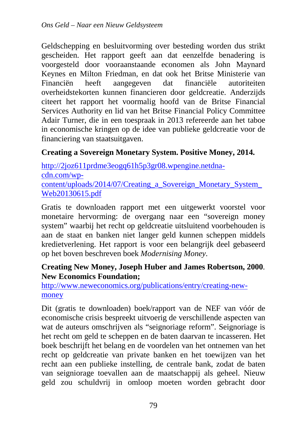Geldschepping en besluitvorming over besteding worden dus strikt gescheiden. Het rapport geeft aan dat eenzelfde benadering is voorgesteld door vooraanstaande economen als John Maynard Keynes en Milton Friedman, en dat ook het Britse Ministerie van Financiën heeft aangegeven dat financiële autoriteiten overheidstekorten kunnen financieren door geldcreatie. Anderzijds citeert het rapport het voormalig hoofd van de Britse Financial Services Authority en lid van het Britse Financial Policy Committee Adair Turner, die in een toespraak in 2013 refereerde aan het taboe in economische kringen op de idee van publieke geldcreatie voor de financiering van staatsuitgaven.

## **Creating a Sovereign Monetary System. Positive Money, 2014.**

http://2joz611prdme3eogq61h5p3gr08.wpengine.netdnacdn.com/wpcontent/uploads/2014/07/Creating\_a\_Sovereign\_Monetary\_System\_ Web20130615.pdf

Gratis te downloaden rapport met een uitgewerkt voorstel voor monetaire hervorming: de overgang naar een "sovereign money system" waarbij het recht op geldcreatie uitsluitend voorbehouden is aan de staat en banken niet langer geld kunnen scheppen middels kredietverlening. Het rapport is voor een belangrijk deel gebaseerd op het boven beschreven boek *Modernising Money*.

## **Creating New Money, Joseph Huber and James Robertson, 2000**. **New Economics Foundation;**

http://www.neweconomics.org/publications/entry/creating-newmoney

Dit (gratis te downloaden) boek/rapport van de NEF van vóór de economische crisis bespreekt uitvoerig de verschillende aspecten van wat de auteurs omschrijven als "seignoriage reform". Seignoriage is het recht om geld te scheppen en de baten daarvan te incasseren. Het boek beschrijft het belang en de voordelen van het ontnemen van het recht op geldcreatie van private banken en het toewijzen van het recht aan een publieke instelling, de centrale bank, zodat de baten van seigniorage toevallen aan de maatschappij als geheel. Nieuw geld zou schuldvrij in omloop moeten worden gebracht door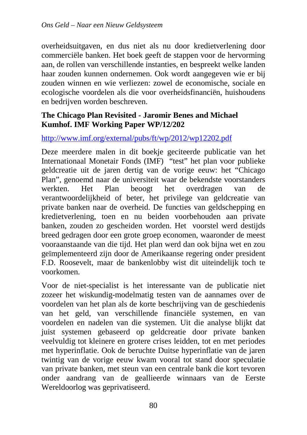overheidsuitgaven, en dus niet als nu door kredietverlening door commerciële banken. Het boek geeft de stappen voor de hervorming aan, de rollen van verschillende instanties, en bespreekt welke landen haar zouden kunnen ondernemen. Ook wordt aangegeven wie er bij zouden winnen en wie verliezen: zowel de economische, sociale en ecologische voordelen als die voor overheidsfinanciën, huishoudens en bedrijven worden beschreven.

## **The Chicago Plan Revisited - Jaromir Benes and Michael Kumhof. IMF Working Paper WP/12/202**

#### http://www.imf.org/external/pubs/ft/wp/2012/wp12202.pdf

Deze meerdere malen in dit boekje geciteerde publicatie van het Internationaal Monetair Fonds (IMF) "test" het plan voor publieke geldcreatie uit de jaren dertig van de vorige eeuw: het "Chicago Plan", genoemd naar de universiteit waar de bekendste voorstanders werkten. Het Plan beoogt het overdragen van de verantwoordelijkheid of beter, het privilege van geldcreatie van private banken naar de overheid. De functies van geldschepping en kredietverlening, toen en nu beiden voorbehouden aan private banken, zouden zo gescheiden worden. Het voorstel werd destijds breed gedragen door een grote groep economen, waaronder de meest vooraanstaande van die tijd. Het plan werd dan ook bijna wet en zou geïmplementeerd zijn door de Amerikaanse regering onder president F.D. Roosevelt, maar de bankenlobby wist dit uiteindelijk toch te voorkomen.

Voor de niet-specialist is het interessante van de publicatie niet zozeer het wiskundig-modelmatig testen van de aannames over de voordelen van het plan als de korte beschrijving van de geschiedenis van het geld, van verschillende financiële systemen, en van voordelen en nadelen van die systemen. Uit die analyse blijkt dat juist systemen gebaseerd op geldcreatie door private banken veelvuldig tot kleinere en grotere crises leidden, tot en met periodes met hyperinflatie. Ook de beruchte Duitse hyperinflatie van de jaren twintig van de vorige eeuw kwam vooral tot stand door speculatie van private banken, met steun van een centrale bank die kort tevoren onder aandrang van de geallieerde winnaars van de Eerste Wereldoorlog was geprivatiseerd.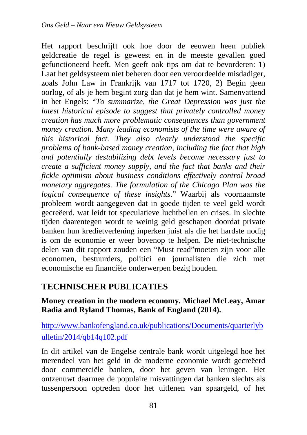Het rapport beschrijft ook hoe door de eeuwen heen publiek geldcreatie de regel is geweest en in de meeste gevallen goed gefunctioneerd heeft. Men geeft ook tips om dat te bevorderen: 1) Laat het geldsysteem niet beheren door een veroordeelde misdadiger, zoals John Law in Frankrijk van 1717 tot 1720, 2) Begin geen oorlog, of als je hem begint zorg dan dat je hem wint. Samenvattend in het Engels: "*To summarize, the Great Depression was just the latest historical episode to suggest that privately controlled money creation has much more problematic consequences than government money creation. Many leading economists of the time were aware of this historical fact. They also clearly understood the specific problems of bank-based money creation, including the fact that high and potentially destabilizing debt levels become necessary just to create a sufficient money supply, and the fact that banks and their fickle optimism about business conditions effectively control broad monetary aggregates. The formulation of the Chicago Plan was the logical consequence of these insights*." Waarbij als voornaamste probleem wordt aangegeven dat in goede tijden te veel geld wordt gecreëerd, wat leidt tot speculatieve luchtbellen en crises. In slechte tijden daarentegen wordt te weinig geld geschapen doordat private banken hun kredietverlening inperken juist als die het hardste nodig is om de economie er weer bovenop te helpen. De niet-technische delen van dit rapport zouden een "Must read"moeten zijn voor alle economen, bestuurders, politici en journalisten die zich met economische en financiële onderwerpen bezig houden.

# **TECHNISCHER PUBLICATIES**

#### **Money creation in the modern economy. Michael McLeay, Amar Radia and Ryland Thomas, Bank of England (2014).**

# http://www.bankofengland.co.uk/publications/Documents/quarterlyb ulletin/2014/qb14q102.pdf

In dit artikel van de Engelse centrale bank wordt uitgelegd hoe het merendeel van het geld in de moderne economie wordt gecreëerd door commerciële banken, door het geven van leningen. Het ontzenuwt daarmee de populaire misvattingen dat banken slechts als tussenpersoon optreden door het uitlenen van spaargeld, of het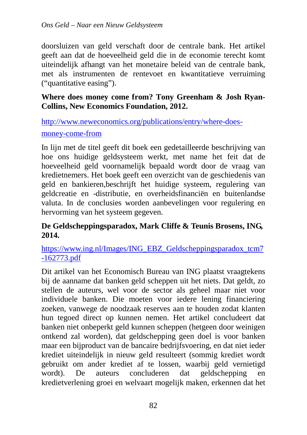doorsluizen van geld verschaft door de centrale bank. Het artikel geeft aan dat de hoeveelheid geld die in de economie terecht komt uiteindelijk afhangt van het monetaire beleid van de centrale bank, met als instrumenten de rentevoet en kwantitatieve verruiming ("quantitative easing").

## **Where does money come from? Tony Greenham & Josh Ryan-Collins, New Economics Foundation, 2012.**

http://www.neweconomics.org/publications/entry/where-does-

#### money-come-from

In lijn met de titel geeft dit boek een gedetailleerde beschrijving van hoe ons huidige geldsysteem werkt, met name het feit dat de hoeveelheid geld voornamelijk bepaald wordt door de vraag van kredietnemers. Het boek geeft een overzicht van de geschiedenis van geld en bankieren,beschrijft het huidige systeem, regulering van geldcreatie en -distributie, en overheidsfinanciën en buitenlandse valuta. In de conclusies worden aanbevelingen voor regulering en hervorming van het systeem gegeven.

## **De Geldscheppingsparadox, Mark Cliffe & Teunis Brosens, ING, 2014.**

https://www.ing.nl/Images/ING\_EBZ\_Geldscheppingsparadox\_tcm7 -162773.pdf

Dit artikel van het Economisch Bureau van ING plaatst vraagtekens bij de aanname dat banken geld scheppen uit het niets. Dat geldt, zo stellen de auteurs, wel voor de sector als geheel maar niet voor individuele banken. Die moeten voor iedere lening financiering zoeken, vanwege de noodzaak reserves aan te houden zodat klanten hun tegoed direct op kunnen nemen. Het artikel concludeert dat banken niet onbeperkt geld kunnen scheppen (hetgeen door weinigen ontkend zal worden), dat geldschepping geen doel is voor banken maar een bijproduct van de bancaire bedrijfsvoering, en dat niet ieder krediet uiteindelijk in nieuw geld resulteert (sommig krediet wordt gebruikt om ander krediet af te lossen, waarbij geld vernietigd wordt). De auteurs concluderen dat geldschepping en kredietverlening groei en welvaart mogelijk maken, erkennen dat het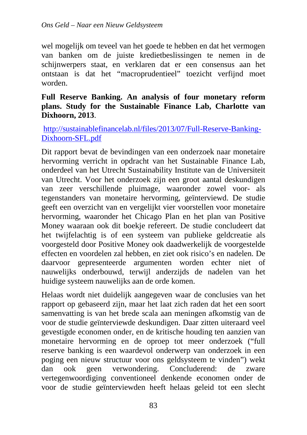wel mogelijk om teveel van het goede te hebben en dat het vermogen van banken om de juiste kredietbeslissingen te nemen in de schijnwerpers staat, en verklaren dat er een consensus aan het ontstaan is dat het "macroprudentieel" toezicht verfijnd moet worden.

#### **Full Reserve Banking. An analysis of four monetary reform plans. Study for the Sustainable Finance Lab, Charlotte van Dixhoorn, 2013**.

http://sustainablefinancelab.nl/files/2013/07/Full-Reserve-Banking-Dixhoorn-SFL.pdf

Dit rapport bevat de bevindingen van een onderzoek naar monetaire hervorming verricht in opdracht van het Sustainable Finance Lab, onderdeel van het Utrecht Sustainability Institute van de Universiteit van Utrecht. Voor het onderzoek zijn een groot aantal deskundigen van zeer verschillende pluimage, waaronder zowel voor- als tegenstanders van monetaire hervorming, geïnterviewd. De studie geeft een overzicht van en vergelijkt vier voorstellen voor monetaire hervorming, waaronder het Chicago Plan en het plan van Positive Money waaraan ook dit boekje refereert. De studie concludeert dat het twijfelachtig is of een systeem van publieke geldcreatie als voorgesteld door Positive Money ook daadwerkelijk de voorgestelde effecten en voordelen zal hebben, en ziet ook risico's en nadelen. De daarvoor gepresenteerde argumenten worden echter niet of nauwelijks onderbouwd, terwijl anderzijds de nadelen van het huidige systeem nauwelijks aan de orde komen.

Helaas wordt niet duidelijk aangegeven waar de conclusies van het rapport op gebaseerd zijn, maar het laat zich raden dat het een soort samenvatting is van het brede scala aan meningen afkomstig van de voor de studie geïnterviewde deskundigen. Daar zitten uiteraard veel gevestigde economen onder, en de kritische houding ten aanzien van monetaire hervorming en de oproep tot meer onderzoek ("full reserve banking is een waardevol onderwerp van onderzoek in een poging een nieuw structuur voor ons geldsysteem te vinden") wekt dan ook geen verwondering. Concluderend: de zware vertegenwoordiging conventioneel denkende economen onder de voor de studie geïnterviewden heeft helaas geleid tot een slecht